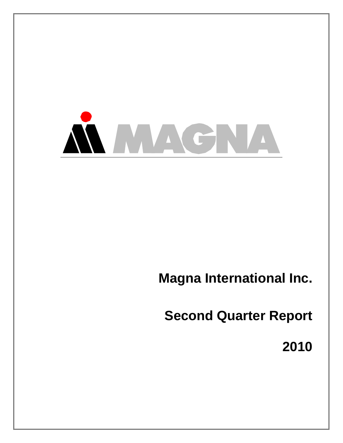

**Magna International Inc.** 

**Second Quarter Report** 

**2010**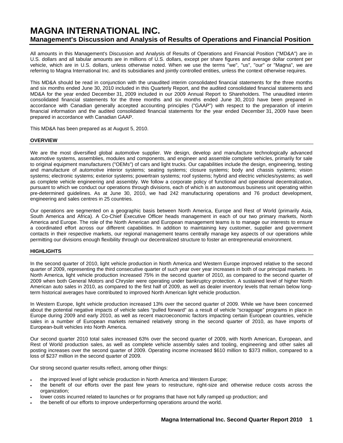# **MAGNA INTERNATIONAL INC. Management's Discussion and Analysis of Results of Operations and Financial Position**

All amounts in this Management's Discussion and Analysis of Results of Operations and Financial Position ("MD&A") are in U.S. dollars and all tabular amounts are in millions of U.S. dollars, except per share figures and average dollar content per vehicle, which are in U.S. dollars, unless otherwise noted. When we use the terms "we", "us", "our" or "Magna", we are referring to Magna International Inc. and its subsidiaries and jointly controlled entities, unless the context otherwise requires.

This MD&A should be read in conjunction with the unaudited interim consolidated financial statements for the three months and six months ended June 30, 2010 included in this Quarterly Report, and the audited consolidated financial statements and MD&A for the year ended December 31, 2009 included in our 2009 Annual Report to Shareholders. The unaudited interim consolidated financial statements for the three months and six months ended June 30, 2010 have been prepared in accordance with Canadian generally accepted accounting principles ("GAAP") with respect to the preparation of interim financial information and the audited consolidated financial statements for the year ended December 31, 2009 have been prepared in accordance with Canadian GAAP.

This MD&A has been prepared as at August 5, 2010.

### **OVERVIEW**

We are the most diversified global automotive supplier. We design, develop and manufacture technologically advanced automotive systems, assemblies, modules and components, and engineer and assemble complete vehicles, primarily for sale to original equipment manufacturers ("OEMs") of cars and light trucks. Our capabilities include the design, engineering, testing and manufacture of automotive interior systems; seating systems; closure systems; body and chassis systems; vision systems; electronic systems; exterior systems; powertrain systems; roof systems; hybrid and electric vehicles/systems; as well as complete vehicle engineering and assembly. We follow a corporate policy of functional and operational decentralization, pursuant to which we conduct our operations through divisions, each of which is an autonomous business unit operating within pre-determined guidelines. As at June 30, 2010, we had 242 manufacturing operations and 76 product development, engineering and sales centres in 25 countries.

Our operations are segmented on a geographic basis between North America, Europe and Rest of World (primarily Asia, South America and Africa). A Co-Chief Executive Officer heads management in each of our two primary markets, North America and Europe. The role of the North American and European management teams is to manage our interests to ensure a coordinated effort across our different capabilities. In addition to maintaining key customer, supplier and government contacts in their respective markets, our regional management teams centrally manage key aspects of our operations while permitting our divisions enough flexibility through our decentralized structure to foster an entrepreneurial environment.

# **HIGHLIGHTS**

In the second quarter of 2010, light vehicle production in North America and Western Europe improved relative to the second quarter of 2009, representing the third consecutive quarter of such year over year increases in both of our principal markets. In North America, light vehicle production increased 75% in the second quarter of 2010, as compared to the second quarter of 2009 when both General Motors and Chrysler were operating under bankruptcy protection. A sustained level of higher North American auto sales in 2010, as compared to the first half of 2009, as well as dealer inventory levels that remain below longterm historical averages have contributed to improved North American light vehicle production.

In Western Europe, light vehicle production increased 13% over the second quarter of 2009. While we have been concerned about the potential negative impacts of vehicle sales "pulled forward" as a result of vehicle "scrappage" programs in place in Europe during 2009 and early 2010, as well as recent macroeconomic factors impacting certain European countries, vehicle sales in a number of European markets remained relatively strong in the second quarter of 2010, as have imports of European-built vehicles into North America.

Our second quarter 2010 total sales increased 63% over the second quarter of 2009, with North American, European, and Rest of World production sales, as well as complete vehicle assembly sales and tooling, engineering and other sales all posting increases over the second quarter of 2009. Operating income increased \$610 million to \$373 million, compared to a loss of \$237 million in the second quarter of 2009.

Our strong second quarter results reflect, among other things:

- the improved level of light vehicle production in North America and Western Europe;
- the benefit of our efforts over the past few years to restructure, right-size and otherwise reduce costs across the organization;
- lower costs incurred related to launches or for programs that have not fully ramped up production; and
- the benefit of our efforts to improve underperforming operations around the world.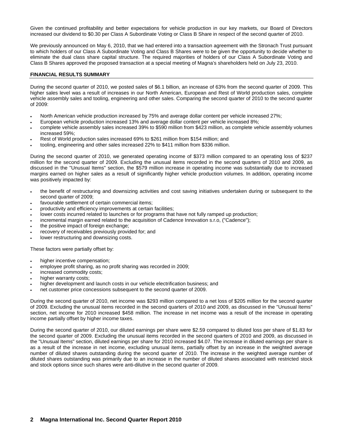Given the continued profitability and better expectations for vehicle production in our key markets, our Board of Directors increased our dividend to \$0.30 per Class A Subordinate Voting or Class B Share in respect of the second quarter of 2010.

We previously announced on May 6, 2010, that we had entered into a transaction agreement with the Stronach Trust pursuant to which holders of our Class A Subordinate Voting and Class B Shares were to be given the opportunity to decide whether to eliminate the dual class share capital structure. The required majorities of holders of our Class A Subordinate Voting and Class B Shares approved the proposed transaction at a special meeting of Magna's shareholders held on July 23, 2010.

### **FINANCIAL RESULTS SUMMARY**

During the second quarter of 2010, we posted sales of \$6.1 billion, an increase of 63% from the second quarter of 2009. This higher sales level was a result of increases in our North American, European and Rest of World production sales, complete vehicle assembly sales and tooling, engineering and other sales. Comparing the second quarter of 2010 to the second quarter of 2009:

- North American vehicle production increased by 75% and average dollar content per vehicle increased 27%;
- European vehicle production increased 13% and average dollar content per vehicle increased 8%;
- complete vehicle assembly sales increased 39% to \$590 million from \$423 million, as complete vehicle assembly volumes increased 59%;
- Rest of World production sales increased 69% to \$261 million from \$154 million; and
- tooling, engineering and other sales increased 22% to \$411 million from \$336 million.

During the second quarter of 2010, we generated operating income of \$373 million compared to an operating loss of \$237 million for the second quarter of 2009. Excluding the unusual items recorded in the second quarters of 2010 and 2009, as discussed in the "Unusual Items" section, the \$579 million increase in operating income was substantially due to increased margins earned on higher sales as a result of significantly higher vehicle production volumes. In addition, operating income was positively impacted by:

- the benefit of restructuring and downsizing activities and cost saving initiatives undertaken during or subsequent to the second quarter of 2009;
- favourable settlement of certain commercial items;
- productivity and efficiency improvements at certain facilities;
- lower costs incurred related to launches or for programs that have not fully ramped up production;
- incremental margin earned related to the acquisition of Cadence Innovation s.r.o, ("Cadence");
- the positive impact of foreign exchange;
- recovery of receivables previously provided for; and
- lower restructuring and downsizing costs.

These factors were partially offset by:

- higher incentive compensation;
- employee profit sharing, as no profit sharing was recorded in 2009;
- increased commodity costs;
- higher warranty costs:
- higher development and launch costs in our vehicle electrification business; and
- net customer price concessions subsequent to the second quarter of 2009.

During the second quarter of 2010, net income was \$293 million compared to a net loss of \$205 million for the second quarter of 2009. Excluding the unusual items recorded in the second quarters of 2010 and 2009, as discussed in the "Unusual Items" section, net income for 2010 increased \$458 million. The increase in net income was a result of the increase in operating income partially offset by higher income taxes.

During the second quarter of 2010, our diluted earnings per share were \$2.59 compared to diluted loss per share of \$1.83 for the second quarter of 2009. Excluding the unusual items recorded in the second quarters of 2010 and 2009, as discussed in the "Unusual Items" section, diluted earnings per share for 2010 increased \$4.07. The increase in diluted earnings per share is as a result of the increase in net income, excluding unusual items, partially offset by an increase in the weighted average number of diluted shares outstanding during the second quarter of 2010. The increase in the weighted average number of diluted shares outstanding was primarily due to an increase in the number of diluted shares associated with restricted stock and stock options since such shares were anti-dilutive in the second quarter of 2009.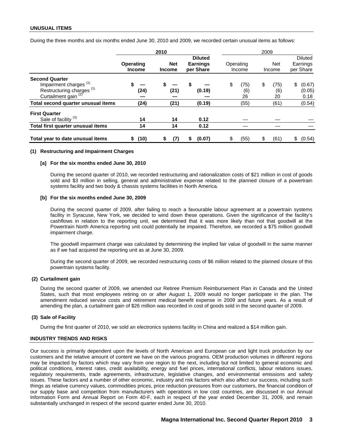During the three months and six months ended June 30, 2010 and 2009, we recorded certain unusual items as follows:

|                                                                                                                                       |                            | 2010                        |                                                | 2009                    |                         |                                         |  |  |  |
|---------------------------------------------------------------------------------------------------------------------------------------|----------------------------|-----------------------------|------------------------------------------------|-------------------------|-------------------------|-----------------------------------------|--|--|--|
|                                                                                                                                       | Operating<br><b>Income</b> | <b>Net</b><br><b>Income</b> | <b>Diluted</b><br><b>Earnings</b><br>per Share | Operating<br>Income     | <b>Net</b><br>Income    | <b>Diluted</b><br>Earnings<br>per Share |  |  |  |
| <b>Second Quarter</b><br>Impairment charges <sup>(1)</sup><br>Restructuring charges <sup>(1)</sup><br>Curtailment gain <sup>(2)</sup> | (24)                       | (21)                        | \$<br>(0.19)                                   | (75)<br>\$<br>(6)<br>26 | (75)<br>\$<br>(6)<br>20 | \$<br>(0.67)<br>(0.05)<br>0.18          |  |  |  |
| Total second quarter unusual items                                                                                                    | (24)                       | (21)                        | (0.19)                                         | (55)                    | (61)                    | (0.54)                                  |  |  |  |
| <b>First Quarter</b><br>Sale of facility <sup>(3)</sup>                                                                               | 14                         | 14                          | 0.12                                           |                         |                         |                                         |  |  |  |
| Total first quarter unusual items                                                                                                     | 14                         | 14                          | 0.12                                           |                         |                         |                                         |  |  |  |
| Total year to date unusual items                                                                                                      | (10)<br>\$                 | (7)<br>\$                   | (0.07)<br>S                                    | (55)<br>\$              | (61)                    | (0.54)<br>\$                            |  |  |  |

#### **(1) Restructuring and Impairment Charges**

#### **[a] For the six months ended June 30, 2010**

During the second quarter of 2010, we recorded restructuring and rationalization costs of \$21 million in cost of goods sold and \$3 million in selling, general and administrative expense related to the planned closure of a powertrain systems facility and two body & chassis systems facilities in North America.

#### **[b] For the six months ended June 30, 2009**

During the second quarter of 2009, after failing to reach a favourable labour agreement at a powertrain systems facility in Syracuse, New York, we decided to wind down these operations. Given the significance of the facility's cashflows in relation to the reporting unit, we determined that it was more likely than not that goodwill at the Powertrain North America reporting unit could potentially be impaired. Therefore, we recorded a \$75 million goodwill impairment charge.

The goodwill impairment charge was calculated by determining the implied fair value of goodwill in the same manner as if we had acquired the reporting unit as at June 30, 2009.

During the second quarter of 2009, we recorded restructuring costs of \$6 million related to the planned closure of this powertrain systems facility.

### **(2) Curtailment gain**

During the second quarter of 2009, we amended our Retiree Premium Reimbursement Plan in Canada and the United States, such that most employees retiring on or after August 1, 2009 would no longer participate in the plan. The amendment reduced service costs and retirement medical benefit expense in 2009 and future years. As a result of amending the plan, a curtailment gain of \$26 million was recorded in cost of goods sold in the second quarter of 2009.

### **(3) Sale of Facility**

During the first quarter of 2010, we sold an electronics systems facility in China and realized a \$14 million gain.

### **INDUSTRY TRENDS AND RISKS**

Our success is primarily dependent upon the levels of North American and European car and light truck production by our customers and the relative amount of content we have on the various programs. OEM production volumes in different regions may be impacted by factors which may vary from one region to the next, including but not limited to general economic and political conditions, interest rates, credit availability, energy and fuel prices, international conflicts, labour relations issues, regulatory requirements, trade agreements, infrastructure, legislative changes, and environmental emissions and safety issues. These factors and a number of other economic, industry and risk factors which also affect our success, including such things as relative currency values, commodities prices, price reduction pressures from our customers, the financial condition of our supply base and competition from manufacturers with operations in low cost countries, are discussed in our Annual Information Form and Annual Report on Form 40-F, each in respect of the year ended December 31, 2009, and remain substantially unchanged in respect of the second quarter ended June 30, 2010.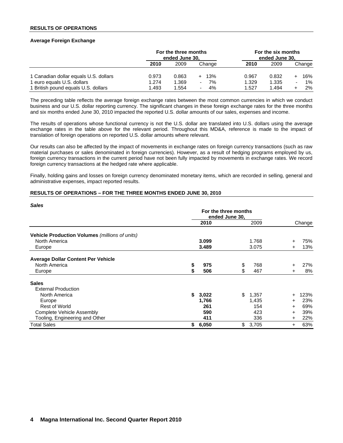### **RESULTS OF OPERATIONS**

### **Average Foreign Exchange**

|                                       | For the three months<br>ended June 30, |       |          |       | For the six months<br>ended June 30. |                |        |
|---------------------------------------|----------------------------------------|-------|----------|-------|--------------------------------------|----------------|--------|
|                                       | 2010                                   | 2009  | Change   | 2010  | 2009                                 |                | Change |
| 1 Canadian dollar equals U.S. dollars | 0.973                                  | 0.863 | 13%      | 0.967 | 0.832                                |                | 16%    |
| 1 euro equals U.S. dollars            | 1.274                                  | 1.369 | 7%<br>۰. | 1.329 | 1.335                                | $\blacksquare$ | $1\%$  |
| 1 British pound equals U.S. dollars   | 1.493                                  | 1.554 | 4%<br>۰. | 1.527 | 1.494                                |                | 2%     |

The preceding table reflects the average foreign exchange rates between the most common currencies in which we conduct business and our U.S. dollar reporting currency. The significant changes in these foreign exchange rates for the three months and six months ended June 30, 2010 impacted the reported U.S. dollar amounts of our sales, expenses and income.

The results of operations whose functional currency is not the U.S. dollar are translated into U.S. dollars using the average exchange rates in the table above for the relevant period. Throughout this MD&A, reference is made to the impact of translation of foreign operations on reported U.S. dollar amounts where relevant.

Our results can also be affected by the impact of movements in exchange rates on foreign currency transactions (such as raw material purchases or sales denominated in foreign currencies). However, as a result of hedging programs employed by us, foreign currency transactions in the current period have not been fully impacted by movements in exchange rates. We record foreign currency transactions at the hedged rate where applicable.

Finally, holding gains and losses on foreign currency denominated monetary items, which are recorded in selling, general and administrative expenses, impact reported results.

### **RESULTS OF OPERATIONS – FOR THE THREE MONTHS ENDED JUNE 30, 2010**

| <b>Sales</b>                                   |    |                      |    |       |           |        |
|------------------------------------------------|----|----------------------|----|-------|-----------|--------|
|                                                |    | For the three months |    |       |           |        |
|                                                |    | 2010                 |    | 2009  |           | Change |
| Vehicle Production Volumes (millions of units) |    |                      |    |       |           |        |
| North America                                  |    | 3.099                |    | 1.768 | $\ddot{}$ | 75%    |
| Europe                                         |    | 3.489                |    | 3.075 | $\ddot{}$ | 13%    |
| <b>Average Dollar Content Per Vehicle</b>      |    |                      |    |       |           |        |
| North America                                  | \$ | 975                  | \$ | 768   | $\ddot{}$ | 27%    |
| Europe                                         | \$ | 506                  | \$ | 467   | $\ddot{}$ | 8%     |
| <b>Sales</b>                                   |    |                      |    |       |           |        |
| <b>External Production</b>                     |    |                      |    |       |           |        |
| North America                                  | S. | 3,022                | \$ | 1,357 | $+$       | 123%   |
| Europe                                         |    | 1,766                |    | 1,435 | $+$       | 23%    |
| <b>Rest of World</b>                           |    | 261                  |    | 154   | $+$       | 69%    |
| Complete Vehicle Assembly                      |    | 590                  |    | 423   | $\ddot{}$ | 39%    |
| Tooling, Engineering and Other                 |    | 411                  |    | 336   | $\pm$     | 22%    |
| <b>Total Sales</b>                             | \$ | 6,050                | \$ | 3,705 | $\div$    | 63%    |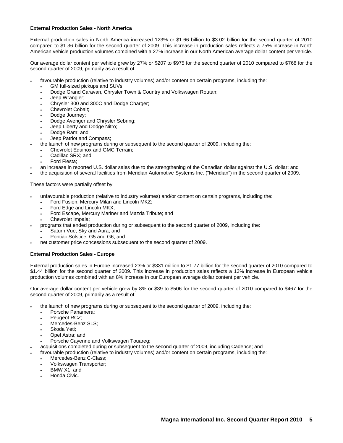## **External Production Sales - North America**

External production sales in North America increased 123% or \$1.66 billion to \$3.02 billion for the second quarter of 2010 compared to \$1.36 billion for the second quarter of 2009. This increase in production sales reflects a 75% increase in North American vehicle production volumes combined with a 27% increase in our North American average dollar content per vehicle.

Our average dollar content per vehicle grew by 27% or \$207 to \$975 for the second quarter of 2010 compared to \$768 for the second quarter of 2009, primarily as a result of:

- favourable production (relative to industry volumes) and/or content on certain programs, including the:
	- GM full-sized pickups and SUVs;
	- Dodge Grand Caravan, Chrysler Town & Country and Volkswagen Routan;
	- Jeep Wrangler;
	- Chrysler 300 and 300C and Dodge Charger;
	- Chevrolet Cobalt;
	- Dodge Journey;
	- Dodge Avenger and Chrysler Sebring;
	- Jeep Liberty and Dodge Nitro;
	- Dodge Ram; and
	- Jeep Patriot and Compass;
	- the launch of new programs during or subsequent to the second quarter of 2009, including the:
	- Chevrolet Equinox and GMC Terrain;
	- Cadillac SRX; and
	- Ford Fiesta:
- an increase in reported U.S. dollar sales due to the strengthening of the Canadian dollar against the U.S. dollar; and
- the acquisition of several facilities from Meridian Automotive Systems Inc. ("Meridian") in the second quarter of 2009.

These factors were partially offset by:

- unfavourable production (relative to industry volumes) and/or content on certain programs, including the:
	- Ford Fusion, Mercury Milan and Lincoln MKZ;
	- Ford Edge and Lincoln MKX;
	- Ford Escape, Mercury Mariner and Mazda Tribute; and
	- Chevrolet Impala;
- programs that ended production during or subsequent to the second quarter of 2009, including the:
	- Saturn Vue, Sky and Aura; and
	- Pontiac Solstice, G5 and G6; and
- net customer price concessions subsequent to the second quarter of 2009.

# **External Production Sales - Europe**

External production sales in Europe increased 23% or \$331 million to \$1.77 billion for the second quarter of 2010 compared to \$1.44 billion for the second quarter of 2009. This increase in production sales reflects a 13% increase in European vehicle production volumes combined with an 8% increase in our European average dollar content per vehicle.

Our average dollar content per vehicle grew by 8% or \$39 to \$506 for the second quarter of 2010 compared to \$467 for the second quarter of 2009, primarily as a result of:

- the launch of new programs during or subsequent to the second quarter of 2009, including the:
	- Porsche Panamera;
	- Peugeot RCZ;
	- Mercedes-Benz SLS;
	- Skoda Yeti;
	- Opel Astra; and
	- Porsche Cayenne and Volkswagen Touareg;
	- acquisitions completed during or subsequent to the second quarter of 2009, including Cadence; and
- favourable production (relative to industry volumes) and/or content on certain programs, including the:
	- Mercedes-Benz C-Class;
	- Volkswagen Transporter;
	- BMW X1; and
	- Honda Civic.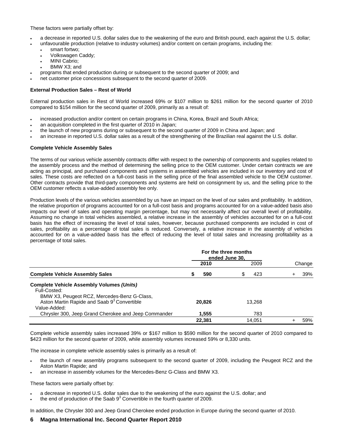These factors were partially offset by:

- a decrease in reported U.S. dollar sales due to the weakening of the euro and British pound, each against the U.S. dollar;
	- unfavourable production (relative to industry volumes) and/or content on certain programs, including the:
		- smart fortwo:
		- Volkswagen Caddy;
		- MINI Cabrio:
		- BMW X3; and
- programs that ended production during or subsequent to the second quarter of 2009; and
- net customer price concessions subsequent to the second quarter of 2009.

# **External Production Sales – Rest of World**

External production sales in Rest of World increased 69% or \$107 million to \$261 million for the second quarter of 2010 compared to \$154 million for the second quarter of 2009, primarily as a result of:

- increased production and/or content on certain programs in China, Korea, Brazil and South Africa;
- an acquisition completed in the first quarter of 2010 in Japan;
- the launch of new programs during or subsequent to the second quarter of 2009 in China and Japan; and
- an increase in reported U.S. dollar sales as a result of the strengthening of the Brazilian real against the U.S. dollar.

### **Complete Vehicle Assembly Sales**

The terms of our various vehicle assembly contracts differ with respect to the ownership of components and supplies related to the assembly process and the method of determining the selling price to the OEM customer. Under certain contracts we are acting as principal, and purchased components and systems in assembled vehicles are included in our inventory and cost of sales. These costs are reflected on a full-cost basis in the selling price of the final assembled vehicle to the OEM customer. Other contracts provide that third-party components and systems are held on consignment by us, and the selling price to the OEM customer reflects a value-added assembly fee only.

Production levels of the various vehicles assembled by us have an impact on the level of our sales and profitability. In addition, the relative proportion of programs accounted for on a full-cost basis and programs accounted for on a value-added basis also impacts our level of sales and operating margin percentage, but may not necessarily affect our overall level of profitability. Assuming no change in total vehicles assembled, a relative increase in the assembly of vehicles accounted for on a full-cost basis has the effect of increasing the level of total sales, however, because purchased components are included in cost of sales, profitability as a percentage of total sales is reduced. Conversely, a relative increase in the assembly of vehicles accounted for on a value-added basis has the effect of reducing the level of total sales and increasing profitability as a percentage of total sales.

|                                                                                                                 | For the three months<br>ended June 30. |          |        |
|-----------------------------------------------------------------------------------------------------------------|----------------------------------------|----------|--------|
|                                                                                                                 | 2010                                   | 2009     | Change |
| <b>Complete Vehicle Assembly Sales</b>                                                                          | 590<br>ъ                               | S<br>423 | 39%    |
| <b>Complete Vehicle Assembly Volumes (Units)</b><br>Full-Costed:<br>BMW X3, Peugeot RCZ, Mercedes-Benz G-Class, |                                        |          |        |
| Aston Martin Rapide and Saab 9 <sup>3</sup> Convertible<br>Value-Added:                                         | 20.826                                 | 13.268   |        |
| Chrysler 300, Jeep Grand Cherokee and Jeep Commander                                                            | 1,555                                  | 783      |        |
|                                                                                                                 | 22.381                                 | 14.051   | 59%    |

Complete vehicle assembly sales increased 39% or \$167 million to \$590 million for the second quarter of 2010 compared to \$423 million for the second quarter of 2009, while assembly volumes increased 59% or 8,330 units.

The increase in complete vehicle assembly sales is primarily as a result of:

- the launch of new assembly programs subsequent to the second quarter of 2009, including the Peugeot RCZ and the Aston Martin Rapide; and
- an increase in assembly volumes for the Mercedes-Benz G-Class and BMW X3.

These factors were partially offset by:

- a decrease in reported U.S. dollar sales due to the weakening of the euro against the U.S. dollar; and
- $\cdot$  the end of production of the Saab  $9^3$  Convertible in the fourth quarter of 2009.

In addition, the Chrysler 300 and Jeep Grand Cherokee ended production in Europe during the second quarter of 2010.

# **6 Magna International Inc. Second Quarter Report 2010**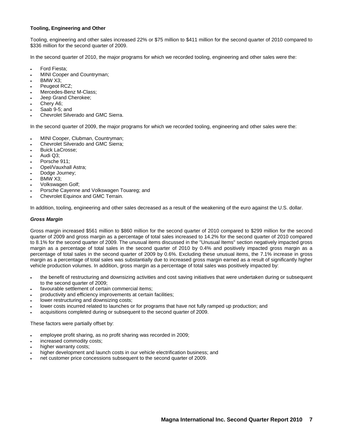## **Tooling, Engineering and Other**

Tooling, engineering and other sales increased 22% or \$75 million to \$411 million for the second quarter of 2010 compared to \$336 million for the second quarter of 2009.

In the second quarter of 2010, the major programs for which we recorded tooling, engineering and other sales were the:

- Ford Fiesta;
- MINI Cooper and Countryman;
- BMW X3;
- Peugeot RCZ;
- Mercedes-Benz M-Class;
- Jeep Grand Cherokee;
- Chery A6:
- Saab 9-5; and
- Chevrolet Silverado and GMC Sierra.

In the second quarter of 2009, the major programs for which we recorded tooling, engineering and other sales were the:

- MINI Cooper, Clubman, Countryman;
- Chevrolet Silverado and GMC Sierra;
- Buick LaCrosse;
- Audi Q3;
- Porsche 911:
- Opel/Vauxhall Astra;
- Dodge Journey;
- BMW X3;
- Volkswagen Golf;
- Porsche Cayenne and Volkswagen Touareg; and
- Chevrolet Equinox and GMC Terrain.

In addition, tooling, engineering and other sales decreased as a result of the weakening of the euro against the U.S. dollar.

### *Gross Margin*

Gross margin increased \$561 million to \$860 million for the second quarter of 2010 compared to \$299 million for the second quarter of 2009 and gross margin as a percentage of total sales increased to 14.2% for the second quarter of 2010 compared to 8.1% for the second quarter of 2009. The unusual items discussed in the "Unusual Items" section negatively impacted gross margin as a percentage of total sales in the second quarter of 2010 by 0.4% and positively impacted gross margin as a percentage of total sales in the second quarter of 2009 by 0.6%. Excluding these unusual items, the 7.1% increase in gross margin as a percentage of total sales was substantially due to increased gross margin earned as a result of significantly higher vehicle production volumes. In addition, gross margin as a percentage of total sales was positively impacted by:

- the benefit of restructuring and downsizing activities and cost saving initiatives that were undertaken during or subsequent to the second quarter of 2009;
- favourable settlement of certain commercial items;
- productivity and efficiency improvements at certain facilities;
- lower restructuring and downsizing costs;
- lower costs incurred related to launches or for programs that have not fully ramped up production; and
- acquisitions completed during or subsequent to the second quarter of 2009.

These factors were partially offset by:

- employee profit sharing, as no profit sharing was recorded in 2009;
- increased commodity costs;
- higher warranty costs;
- higher development and launch costs in our vehicle electrification business; and
- net customer price concessions subsequent to the second quarter of 2009.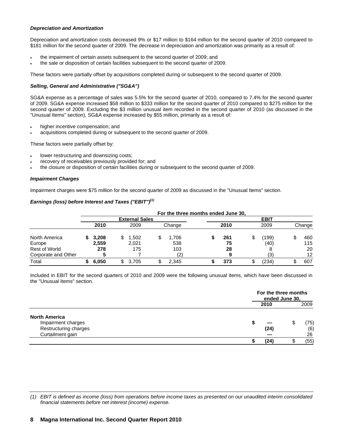### *Depreciation and Amortization*

Depreciation and amortization costs decreased 9% or \$17 million to \$164 million for the second quarter of 2010 compared to \$181 million for the second quarter of 2009. The decrease in depreciation and amortization was primarily as a result of:

- the impairment of certain assets subsequent to the second quarter of 2009; and
- the sale or disposition of certain facilities subsequent to the second quarter of 2009.

These factors were partially offset by acquisitions completed during or subsequent to the second quarter of 2009.

# *Selling, General and Administrative ("SG&A")*

SG&A expense as a percentage of sales was 5.5% for the second quarter of 2010, compared to 7.4% for the second quarter of 2009. SG&A expense increased \$58 million to \$333 million for the second quarter of 2010 compared to \$275 million for the second quarter of 2009. Excluding the \$3 million unusual item recorded in the second quarter of 2010 (as discussed in the "Unusual Items" section), SG&A expense increased by \$55 million, primarily as a result of:

- higher incentive compensation; and
- acquisitions completed during or subsequent to the second quarter of 2009.

These factors were partially offset by:

- lower restructuring and downsizing costs;
- recovery of receivables previously provided for; and
- the closure or disposition of certain facilities during or subsequent to the second quarter of 2009.

### *Impairment Charges*

Impairment charges were \$75 million for the second quarter of 2009 as discussed in the "Unusual Items" section.

# *Earnings (loss) before Interest and Taxes ("EBIT")(1)*

|                      |       |                       |   | For the three months ended June 30. |      |             |           |
|----------------------|-------|-----------------------|---|-------------------------------------|------|-------------|-----------|
|                      |       | <b>External Sales</b> |   |                                     |      | <b>EBIT</b> |           |
|                      | 2010  | 2009                  |   | Change                              | 2010 | 2009        | Change    |
| North America        | 3,208 | .502                  | S | 1.706                               | 261  | (199)       | \$<br>460 |
| Europe               | 2.559 | 2,021                 |   | 538                                 | 75   | (40)        | 115       |
| <b>Rest of World</b> | 278   | 175                   |   | 103                                 | 28   |             | 20        |
| Corporate and Other  |       |                       |   | ⊂                                   |      | (3)         | 12        |
| Total                | 6,050 | 3.705                 |   | 2.345                               | 373  | (234)       | 607       |

Included in EBIT for the second quarters of 2010 and 2009 were the following unusual items, which have been discussed in the "Unusual Items" section.

|                       | For the three months<br>ended June 30, |    |      |  |
|-----------------------|----------------------------------------|----|------|--|
|                       | 2010                                   |    | 2009 |  |
| <b>North America</b>  |                                        |    |      |  |
| Impairment charges    |                                        | ۰D | (75) |  |
| Restructuring charges | (24)                                   |    | (6)  |  |
| Curtailment gain      |                                        |    | 26   |  |
|                       | (24)                                   |    | (55) |  |

*(1) EBIT is defined as income (loss) from operations before income taxes as presented on our unaudited interim consolidated financial statements before net interest (income) expense.*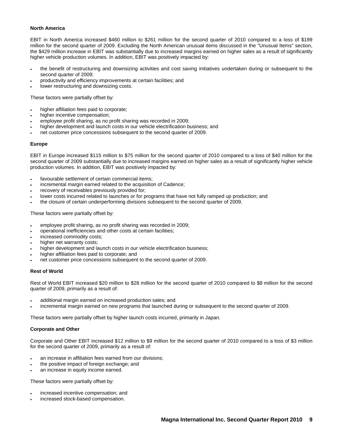### **North America**

EBIT in North America increased \$460 million to \$261 million for the second quarter of 2010 compared to a loss of \$199 million for the second quarter of 2009. Excluding the North American unusual items discussed in the "Unusual Items" section, the \$429 million increase in EBIT was substantially due to increased margins earned on higher sales as a result of significantly higher vehicle production volumes. In addition, EBIT was positively impacted by:

- the benefit of restructuring and downsizing activities and cost saving initiatives undertaken during or subsequent to the second quarter of 2009;
- productivity and efficiency improvements at certain facilities; and
- lower restructuring and downsizing costs.

These factors were partially offset by:

- higher affiliation fees paid to corporate;
- higher incentive compensation;
- employee profit sharing, as no profit sharing was recorded in 2009;
- higher development and launch costs in our vehicle electrification business; and
- net customer price concessions subsequent to the second quarter of 2009.

### **Europe**

EBIT in Europe increased \$115 million to \$75 million for the second quarter of 2010 compared to a loss of \$40 million for the second quarter of 2009 substantially due to increased margins earned on higher sales as a result of significantly higher vehicle production volumes. In addition, EBIT was positively impacted by:

- favourable settlement of certain commercial items;
- incremental margin earned related to the acquisition of Cadence;
- recovery of receivables previously provided for;
- lower costs incurred related to launches or for programs that have not fully ramped up production; and
- the closure of certain underperforming divisions subsequent to the second quarter of 2009.

These factors were partially offset by:

- employee profit sharing, as no profit sharing was recorded in 2009;
- operational inefficiencies and other costs at certain facilities;
- increased commodity costs;
- higher net warranty costs;
- higher development and launch costs in our vehicle electrification business;
- higher affiliation fees paid to corporate; and
- net customer price concessions subsequent to the second quarter of 2009.

### **Rest of World**

Rest of World EBIT increased \$20 million to \$28 million for the second quarter of 2010 compared to \$8 million for the second quarter of 2009, primarily as a result of:

- additional margin earned on increased production sales; and
- incremental margin earned on new programs that launched during or subsequent to the second quarter of 2009.

These factors were partially offset by higher launch costs incurred, primarily in Japan.

# **Corporate and Other**

Corporate and Other EBIT increased \$12 million to \$9 million for the second quarter of 2010 compared to a loss of \$3 million for the second quarter of 2009, primarily as a result of:

- an increase in affiliation fees earned from our divisions;
- the positive impact of foreign exchange; and
- an increase in equity income earned.

These factors were partially offset by:

- increased incentive compensation; and
- increased stock-based compensation.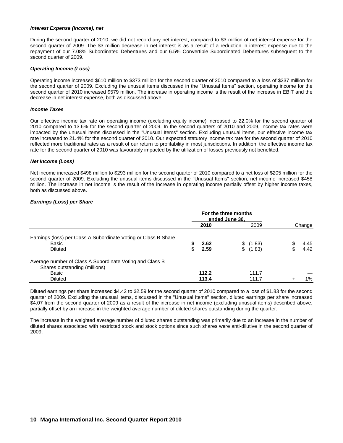### *Interest Expense (Income), net*

During the second quarter of 2010, we did not record any net interest, compared to \$3 million of net interest expense for the second quarter of 2009. The \$3 million decrease in net interest is as a result of a reduction in interest expense due to the repayment of our 7.08% Subordinated Debentures and our 6.5% Convertible Subordinated Debentures subsequent to the second quarter of 2009.

### *Operating Income (Loss)*

Operating income increased \$610 million to \$373 million for the second quarter of 2010 compared to a loss of \$237 million for the second quarter of 2009. Excluding the unusual items discussed in the "Unusual Items" section, operating income for the second quarter of 2010 increased \$579 million. The increase in operating income is the result of the increase in EBIT and the decrease in net interest expense, both as discussed above.

### *Income Taxes*

Our effective income tax rate on operating income (excluding equity income) increased to 22.0% for the second quarter of 2010 compared to 13.6% for the second quarter of 2009. In the second quarters of 2010 and 2009, income tax rates were impacted by the unusual items discussed in the "Unusual Items" section. Excluding unusual items, our effective income tax rate increased to 21.4% for the second quarter of 2010. Our expected statutory income tax rate for the second quarter of 2010 reflected more traditional rates as a result of our return to profitability in most jurisdictions. In addition, the effective income tax rate for the second quarter of 2010 was favourably impacted by the utilization of losses previously not benefited.

### *Net Income (Loss)*

Net income increased \$498 million to \$293 million for the second quarter of 2010 compared to a net loss of \$205 million for the second quarter of 2009. Excluding the unusual items discussed in the "Unusual Items" section, net income increased \$458 million. The increase in net income is the result of the increase in operating income partially offset by higher income taxes, both as discussed above.

### *Earnings (Loss) per Share*

|                                                                 | For the three months<br>ended June 30, |       |    |        |  |        |  |
|-----------------------------------------------------------------|----------------------------------------|-------|----|--------|--|--------|--|
|                                                                 |                                        | 2010  |    | 2009   |  | Change |  |
| Earnings (loss) per Class A Subordinate Voting or Class B Share |                                        |       |    |        |  |        |  |
| Basic                                                           |                                        | 2.62  | \$ | (1.83) |  | 4.45   |  |
| <b>Diluted</b>                                                  |                                        | 2.59  | \$ | (1.83) |  | 4.42   |  |
| Average number of Class A Subordinate Voting and Class B        |                                        |       |    |        |  |        |  |
| Shares outstanding (millions)                                   |                                        |       |    |        |  |        |  |
| Basic                                                           |                                        | 112.2 |    | 111.7  |  |        |  |
| <b>Diluted</b>                                                  |                                        | 113.4 |    | 111.7  |  | $1\%$  |  |

Diluted earnings per share increased \$4.42 to \$2.59 for the second quarter of 2010 compared to a loss of \$1.83 for the second quarter of 2009. Excluding the unusual items, discussed in the "Unusual Items" section, diluted earnings per share increased \$4.07 from the second quarter of 2009 as a result of the increase in net income (excluding unusual items) described above, partially offset by an increase in the weighted average number of diluted shares outstanding during the quarter.

The increase in the weighted average number of diluted shares outstanding was primarily due to an increase in the number of diluted shares associated with restricted stock and stock options since such shares were anti-dilutive in the second quarter of 2009.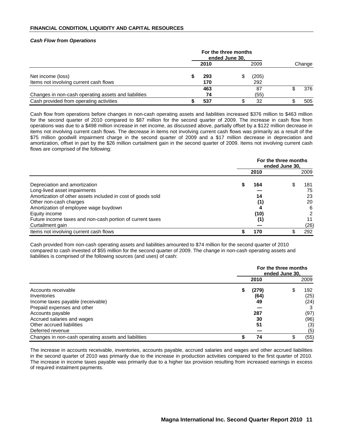### **FINANCIAL CONDITION, LIQUIDITY AND CAPITAL RESOURCES**

### *Cash Flow from Operations*

|                                                      | For the three months<br>ended June 30, |      |    |       |  |        |  |  |
|------------------------------------------------------|----------------------------------------|------|----|-------|--|--------|--|--|
|                                                      |                                        | 2010 |    | 2009  |  | Change |  |  |
| Net income (loss)                                    |                                        | 293  | \$ | (205) |  |        |  |  |
| Items not involving current cash flows               |                                        | 170  |    | 292   |  |        |  |  |
|                                                      |                                        | 463  |    | 87    |  | 376    |  |  |
| Changes in non-cash operating assets and liabilities |                                        | 74   |    | (55)  |  |        |  |  |
| Cash provided from operating activities              |                                        | 537  |    | 32    |  | 505    |  |  |

Cash flow from operations before changes in non-cash operating assets and liabilities increased \$376 million to \$463 million for the second quarter of 2010 compared to \$87 million for the second quarter of 2009. The increase in cash flow from operations was due to a \$498 million increase in net income, as discussed above, partially offset by a \$122 million decrease in items not involving current cash flows. The decrease in items not involving current cash flows was primarily as a result of the \$75 million goodwill impairment charge in the second quarter of 2009 and a \$17 million decrease in depreciation and amortization, offset in part by the \$26 million curtailment gain in the second quarter of 2009. Items not involving current cash flows are comprised of the following:

|                                                             | For the three months<br>ended June 30. |      |  |      |  |  |  |
|-------------------------------------------------------------|----------------------------------------|------|--|------|--|--|--|
|                                                             |                                        | 2010 |  | 2009 |  |  |  |
| Depreciation and amortization                               | S                                      | 164  |  | 181  |  |  |  |
| Long-lived asset impairments                                |                                        |      |  | 75   |  |  |  |
| Amortization of other assets included in cost of goods sold |                                        | 14   |  | 23   |  |  |  |
| Other non-cash charges                                      |                                        | (1)  |  | 20   |  |  |  |
| Amortization of employee wage buydown                       |                                        | 4    |  | 6    |  |  |  |
| Equity income                                               |                                        | (10) |  |      |  |  |  |
| Future income taxes and non-cash portion of current taxes   |                                        | (1)  |  |      |  |  |  |
| Curtailment gain                                            |                                        |      |  | (26) |  |  |  |
| Items not involving current cash flows                      |                                        | 170  |  | 292  |  |  |  |

Cash provided from non-cash operating assets and liabilities amounted to \$74 million for the second quarter of 2010 compared to cash invested of \$55 million for the second quarter of 2009. The change in non-cash operating assets and liabilities is comprised of the following sources (and uses) of cash:

|                                                      | For the three months<br>ended June 30. |       |  |      |  |  |  |
|------------------------------------------------------|----------------------------------------|-------|--|------|--|--|--|
|                                                      |                                        | 2010  |  | 2009 |  |  |  |
| Accounts receivable                                  | \$                                     | (279) |  | 192  |  |  |  |
| Inventories                                          |                                        | (64)  |  | (25) |  |  |  |
| Income taxes payable (receivable)                    |                                        | 49    |  | (24) |  |  |  |
| Prepaid expenses and other                           |                                        |       |  |      |  |  |  |
| Accounts payable                                     |                                        | 287   |  | (97) |  |  |  |
| Accrued salaries and wages                           |                                        | 30    |  | (96) |  |  |  |
| Other accrued liabilities                            |                                        | 51    |  | (3)  |  |  |  |
| Deferred revenue                                     |                                        |       |  | (5)  |  |  |  |
| Changes in non-cash operating assets and liabilities |                                        | 74    |  | (55) |  |  |  |

The increase in accounts receivable, inventories, accounts payable, accrued salaries and wages and other accrued liabilities in the second quarter of 2010 was primarily due to the increase in production activities compared to the first quarter of 2010. The increase in income taxes payable was primarily due to a higher tax provision resulting from increased earnings in excess of required instalment payments.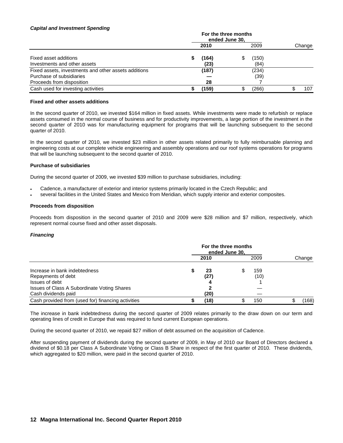### *Capital and Investment Spending*

|                                                                                                               |  | 2010          | 2009                |  | Change |
|---------------------------------------------------------------------------------------------------------------|--|---------------|---------------------|--|--------|
| Fixed asset additions<br>Investments and other assets                                                         |  | (164)<br>(23) | \$<br>(150)<br>(84) |  |        |
| Fixed assets, investments and other assets additions<br>Purchase of subsidiaries<br>Proceeds from disposition |  | (187)<br>28   | (234)<br>(39)       |  |        |
| Cash used for investing activities                                                                            |  | (159)         | \$<br>(266)         |  | 107    |

### **Fixed and other assets additions**

In the second quarter of 2010, we invested \$164 million in fixed assets. While investments were made to refurbish or replace assets consumed in the normal course of business and for productivity improvements, a large portion of the investment in the second quarter of 2010 was for manufacturing equipment for programs that will be launching subsequent to the second quarter of 2010.

In the second quarter of 2010, we invested \$23 million in other assets related primarily to fully reimbursable planning and engineering costs at our complete vehicle engineering and assembly operations and our roof systems operations for programs that will be launching subsequent to the second quarter of 2010.

# **Purchase of subsidiaries**

During the second quarter of 2009, we invested \$39 million to purchase subsidiaries, including:

- Cadence, a manufacturer of exterior and interior systems primarily located in the Czech Republic; and
- several facilities in the United States and Mexico from Meridian, which supply interior and exterior composites.

### **Proceeds from disposition**

Proceeds from disposition in the second quarter of 2010 and 2009 were \$28 million and \$7 million, respectively, which represent normal course fixed and other asset disposals.

### *Financing*

|                                                    | For the three months<br>ended June 30, |      |      |      |        |      |
|----------------------------------------------------|----------------------------------------|------|------|------|--------|------|
|                                                    |                                        |      | 2009 |      | Change |      |
| Increase in bank indebtedness                      |                                        | 23   | S    | 159  |        |      |
| Repayments of debt                                 |                                        | (27) |      | (10) |        |      |
| Issues of debt                                     |                                        |      |      |      |        |      |
| Issues of Class A Subordinate Voting Shares        |                                        |      |      |      |        |      |
| Cash dividends paid                                |                                        | (20) |      |      |        |      |
| Cash provided from (used for) financing activities |                                        | (18) |      | 150  |        | 168) |

The increase in bank indebtedness during the second quarter of 2009 relates primarily to the draw down on our term and operating lines of credit in Europe that was required to fund current European operations.

During the second quarter of 2010, we repaid \$27 million of debt assumed on the acquisition of Cadence.

After suspending payment of dividends during the second quarter of 2009, in May of 2010 our Board of Directors declared a dividend of \$0.18 per Class A Subordinate Voting or Class B Share in respect of the first quarter of 2010. These dividends, which aggregated to \$20 million, were paid in the second quarter of 2010.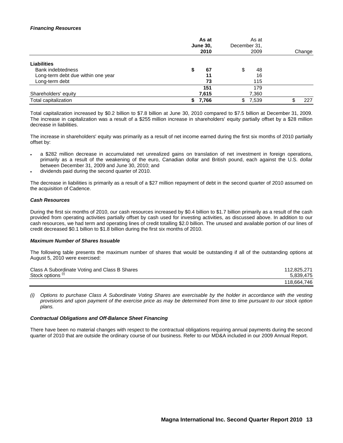## *Financing Resources*

|                                    | As at<br><b>June 30,</b><br>2010 | As at<br>December 31,<br>2009 | Change |
|------------------------------------|----------------------------------|-------------------------------|--------|
| <b>Liabilities</b>                 |                                  |                               |        |
| <b>Bank indebtedness</b>           | 67<br>\$                         | \$<br>48                      |        |
| Long-term debt due within one year | 11                               | 16                            |        |
| Long-term debt                     | 73                               | 115                           |        |
|                                    | 151                              | 179                           |        |
| Shareholders' equity               | 7,615                            | 7,360                         |        |
| Total capitalization               | 7,766                            | 7,539<br>\$                   | 227    |

Total capitalization increased by \$0.2 billion to \$7.8 billion at June 30, 2010 compared to \$7.5 billion at December 31, 2009. The increase in capitalization was a result of a \$255 million increase in shareholders' equity partially offset by a \$28 million decrease in liabilities.

The increase in shareholders' equity was primarily as a result of net income earned during the first six months of 2010 partially offset by:

- a \$282 million decrease in accumulated net unrealized gains on translation of net investment in foreign operations, primarily as a result of the weakening of the euro, Canadian dollar and British pound, each against the U.S. dollar between December 31, 2009 and June 30, 2010; and
- dividends paid during the second quarter of 2010.

The decrease in liabilities is primarily as a result of a \$27 million repayment of debt in the second quarter of 2010 assumed on the acquisition of Cadence.

### *Cash Resources*

During the first six months of 2010, our cash resources increased by \$0.4 billion to \$1.7 billion primarily as a result of the cash provided from operating activities partially offset by cash used for investing activities, as discussed above. In addition to our cash resources, we had term and operating lines of credit totalling \$2.0 billion. The unused and available portion of our lines of credit decreased \$0.1 billion to \$1.8 billion during the first six months of 2010.

### *Maximum Number of Shares Issuable*

The following table presents the maximum number of shares that would be outstanding if all of the outstanding options at August 5, 2010 were exercised:

| Class A Subordinate Voting and Class B Shares | 112.825.271 |
|-----------------------------------------------|-------------|
| Stock options <sup>(1)</sup>                  | 5.839.475   |
|                                               | 118.664.746 |

*(i) Options to purchase Class A Subordinate Voting Shares are exercisable by the holder in accordance with the vesting provisions and upon payment of the exercise price as may be determined from time to time pursuant to our stock option plans.* 

### *Contractual Obligations and Off-Balance Sheet Financing*

There have been no material changes with respect to the contractual obligations requiring annual payments during the second quarter of 2010 that are outside the ordinary course of our business. Refer to our MD&A included in our 2009 Annual Report.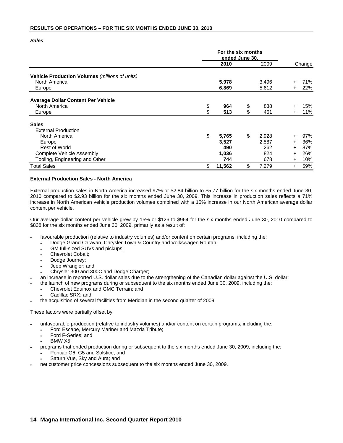*Sales* 

|                                                |    | For the six months<br>ended June 30, |    |                |              |            |
|------------------------------------------------|----|--------------------------------------|----|----------------|--------------|------------|
|                                                |    | 2010                                 |    |                |              | Change     |
| Vehicle Production Volumes (millions of units) |    |                                      |    |                |              |            |
| North America<br>Europe                        |    | 5.978<br>6.869                       |    | 3.496<br>5.612 | $\pm$<br>$+$ | 71%<br>22% |
| <b>Average Dollar Content Per Vehicle</b>      |    |                                      |    |                |              |            |
| North America                                  | \$ | 964                                  | \$ | 838            |              | 15%        |
| Europe                                         | \$ | 513                                  | \$ | 461            | $+$          | 11%        |
| <b>Sales</b>                                   |    |                                      |    |                |              |            |
| <b>External Production</b>                     |    |                                      |    |                |              |            |
| North America                                  | \$ | 5,765                                | \$ | 2,928          | $+$          | 97%        |
| Europe                                         |    | 3,527                                |    | 2,587          | $\pm$        | 36%        |
| <b>Rest of World</b>                           |    | 490                                  |    | 262            | $\ddot{}$    | 87%        |
| Complete Vehicle Assembly                      |    | 1,036                                |    | 824            | $\pm$        | 26%        |
| Tooling, Engineering and Other                 |    | 744                                  |    | 678            | $\pm$        | 10%        |
| <b>Total Sales</b>                             | \$ | 11,562                               | \$ | 7,279          | $\pm$        | 59%        |

### **External Production Sales - North America**

External production sales in North America increased 97% or \$2.84 billion to \$5.77 billion for the six months ended June 30, 2010 compared to \$2.93 billion for the six months ended June 30, 2009. This increase in production sales reflects a 71% increase in North American vehicle production volumes combined with a 15% increase in our North American average dollar content per vehicle.

Our average dollar content per vehicle grew by 15% or \$126 to \$964 for the six months ended June 30, 2010 compared to \$838 for the six months ended June 30, 2009, primarily as a result of:

- favourable production (relative to industry volumes) and/or content on certain programs, including the:
	- Dodge Grand Caravan, Chrysler Town & Country and Volkswagen Routan;
	- GM full-sized SUVs and pickups;
	- Chevrolet Cobalt;
	- Dodge Journey;
	- Jeep Wrangler; and
	- Chrysler 300 and 300C and Dodge Charger;
- an increase in reported U.S. dollar sales due to the strengthening of the Canadian dollar against the U.S. dollar;
- the launch of new programs during or subsequent to the six months ended June 30, 2009, including the:
	- Chevrolet Equinox and GMC Terrain; and
	- Cadillac SRX; and
- the acquisition of several facilities from Meridian in the second quarter of 2009.

These factors were partially offset by:

- unfavourable production (relative to industry volumes) and/or content on certain programs, including the:
	- Ford Escape, Mercury Mariner and Mazda Tribute;
	- Ford F-Series; and
	- BMW X5;
- programs that ended production during or subsequent to the six months ended June 30, 2009, including the:
	- Pontiac G6, G5 and Solstice; and
	- Saturn Vue, Sky and Aura; and
- net customer price concessions subsequent to the six months ended June 30, 2009.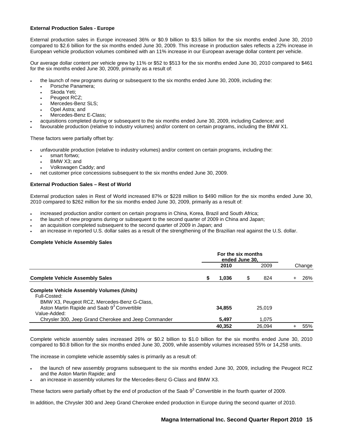## **External Production Sales - Europe**

External production sales in Europe increased 36% or \$0.9 billion to \$3.5 billion for the six months ended June 30, 2010 compared to \$2.6 billion for the six months ended June 30, 2009. This increase in production sales reflects a 22% increase in European vehicle production volumes combined with an 11% increase in our European average dollar content per vehicle.

Our average dollar content per vehicle grew by 11% or \$52 to \$513 for the six months ended June 30, 2010 compared to \$461 for the six months ended June 30, 2009, primarily as a result of:

- the launch of new programs during or subsequent to the six months ended June 30, 2009, including the:
	- Porsche Panamera;
	- Skoda Yeti:
	- Peugeot RCZ:
	- Mercedes-Benz SLS:
	- Opel Astra; and
	- Mercedes-Benz E-Class;
- acquisitions completed during or subsequent to the six months ended June 30, 2009, including Cadence; and
- favourable production (relative to industry volumes) and/or content on certain programs, including the BMW X1.

These factors were partially offset by:

- unfavourable production (relative to industry volumes) and/or content on certain programs, including the:
	- smart fortwo;
	- BMW X3; and
	- Volkswagen Caddy; and
	- net customer price concessions subsequent to the six months ended June 30, 2009.

# **External Production Sales – Rest of World**

External production sales in Rest of World increased 87% or \$228 million to \$490 million for the six months ended June 30, 2010 compared to \$262 million for the six months ended June 30, 2009, primarily as a result of:

- increased production and/or content on certain programs in China, Korea, Brazil and South Africa;
- the launch of new programs during or subsequent to the second quarter of 2009 in China and Japan;
- an acquisition completed subsequent to the second quarter of 2009 in Japan; and
- an increase in reported U.S. dollar sales as a result of the strengthening of the Brazilian real against the U.S. dollar.

# **Complete Vehicle Assembly Sales**

|                                                         |   | 2010   | 2009      | Change |
|---------------------------------------------------------|---|--------|-----------|--------|
| <b>Complete Vehicle Assembly Sales</b>                  | S | 1,036  | \$<br>824 | 26%    |
| <b>Complete Vehicle Assembly Volumes (Units)</b>        |   |        |           |        |
| Full-Costed:                                            |   |        |           |        |
| BMW X3, Peugeot RCZ, Mercedes-Benz G-Class,             |   |        |           |        |
| Aston Martin Rapide and Saab 9 <sup>3</sup> Convertible |   | 34.855 | 25.019    |        |
| Value-Added:                                            |   |        |           |        |
| Chrysler 300, Jeep Grand Cherokee and Jeep Commander    |   | 5.497  | 1.075     |        |
|                                                         |   | 40.352 | 26.094    | 55%    |

Complete vehicle assembly sales increased 26% or \$0.2 billion to \$1.0 billion for the six months ended June 30, 2010 compared to \$0.8 billion for the six months ended June 30, 2009, while assembly volumes increased 55% or 14,258 units.

The increase in complete vehicle assembly sales is primarily as a result of:

- the launch of new assembly programs subsequent to the six months ended June 30, 2009, including the Peugeot RCZ and the Aston Martin Rapide; and
- an increase in assembly volumes for the Mercedes-Benz G-Class and BMW X3.

These factors were partially offset by the end of production of the Saab  $9^3$  Convertible in the fourth quarter of 2009.

In addition, the Chrysler 300 and Jeep Grand Cherokee ended production in Europe during the second quarter of 2010.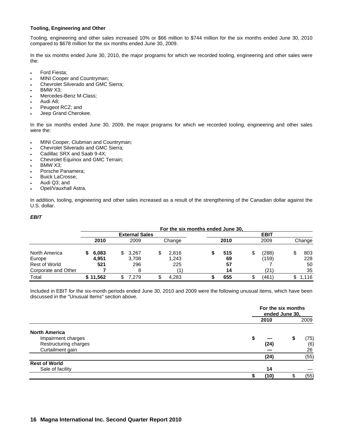# **Tooling, Engineering and Other**

Tooling, engineering and other sales increased 10% or \$66 million to \$744 million for the six months ended June 30, 2010 compared to \$678 million for the six months ended June 30, 2009.

In the six months ended June 30, 2010, the major programs for which we recorded tooling, engineering and other sales were the:

- Ford Fiesta;
- MINI Cooper and Countryman;
- Chevrolet Silverado and GMC Sierra;
- BMW X3;
- Mercedes-Benz M-Class;
- Audi A8;
- Peugeot RCZ; and
- Jeep Grand Cherokee.

In the six months ended June 30, 2009, the major programs for which we recorded tooling, engineering and other sales were the:

- MINI Cooper, Clubman and Countryman;
- Chevrolet Silverado and GMC Sierra;
- Cadillac SRX and Saab 9-4X;
- Chevrolet Equinox and GMC Terrain;
- BMW X3;
- Porsche Panamera;
- Buick LaCrosse;
- Audi Q3; and
- Opel/Vauxhall Astra.

In addition, tooling, engineering and other sales increased as a result of the strengthening of the Canadian dollar against the U.S. dollar.

# *EBIT*

|                      |          |                       | For the six months ended June 30, |      |             |        |
|----------------------|----------|-----------------------|-----------------------------------|------|-------------|--------|
|                      |          | <b>External Sales</b> |                                   |      | <b>EBIT</b> |        |
|                      | 2010     | 2009                  | Change                            | 2010 | 2009        | Change |
| North America        | 6,083    | 3,267                 | \$<br>2.816                       | 515  | (288)       | 803    |
| Europe               | 4,951    | 3,708                 | 1.243                             | 69   | (159)       | 228    |
| <b>Rest of World</b> | 521      | 296                   | 225                               | 57   |             | 50     |
| Corporate and Other  |          | 8                     |                                   | 14   | (21)        | 35     |
| Total                | \$11,562 | .279                  | 4.283                             | 655  | (461)       | .116،  |

Included in EBIT for the six-month periods ended June 30, 2010 and 2009 were the following unusual items, which have been discussed in the "Unusual Items" section above.

|                       | For the six months<br>ended June 30, |      |
|-----------------------|--------------------------------------|------|
|                       | 2010                                 | 2009 |
| <b>North America</b>  |                                      |      |
| Impairment charges    | 5                                    | (75) |
| Restructuring charges | (24)                                 | (6)  |
| Curtailment gain      |                                      | 26   |
|                       | (24)                                 | (55) |
| <b>Rest of World</b>  |                                      |      |
| Sale of facility      | 14                                   |      |
|                       | (10)                                 | (55) |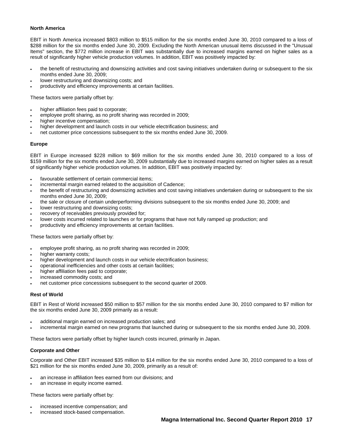### **North America**

EBIT in North America increased \$803 million to \$515 million for the six months ended June 30, 2010 compared to a loss of \$288 million for the six months ended June 30, 2009. Excluding the North American unusual items discussed in the "Unusual Items" section, the \$772 million increase in EBIT was substantially due to increased margins earned on higher sales as a result of significantly higher vehicle production volumes. In addition, EBIT was positively impacted by:

- the benefit of restructuring and downsizing activities and cost saving initiatives undertaken during or subsequent to the six months ended June 30, 2009;
- lower restructuring and downsizing costs; and
- productivity and efficiency improvements at certain facilities.

These factors were partially offset by:

- higher affiliation fees paid to corporate;
- employee profit sharing, as no profit sharing was recorded in 2009;
- higher incentive compensation;
- higher development and launch costs in our vehicle electrification business; and
- net customer price concessions subsequent to the six months ended June 30, 2009.

### **Europe**

EBIT in Europe increased \$228 million to \$69 million for the six months ended June 30, 2010 compared to a loss of \$159 million for the six months ended June 30, 2009 substantially due to increased margins earned on higher sales as a result of significantly higher vehicle production volumes. In addition, EBIT was positively impacted by:

- favourable settlement of certain commercial items;
- incremental margin earned related to the acquisition of Cadence;
- the benefit of restructuring and downsizing activities and cost saving initiatives undertaken during or subsequent to the six months ended June 30, 2009;
- the sale or closure of certain underperforming divisions subsequent to the six months ended June 30, 2009; and
- lower restructuring and downsizing costs;
- recovery of receivables previously provided for;
- lower costs incurred related to launches or for programs that have not fully ramped up production; and
- productivity and efficiency improvements at certain facilities.

These factors were partially offset by:

- employee profit sharing, as no profit sharing was recorded in 2009;
- higher warranty costs:
- higher development and launch costs in our vehicle electrification business;
- operational inefficiencies and other costs at certain facilities;
- higher affiliation fees paid to corporate;
- increased commodity costs; and
- net customer price concessions subsequent to the second quarter of 2009.

### **Rest of World**

EBIT in Rest of World increased \$50 million to \$57 million for the six months ended June 30, 2010 compared to \$7 million for the six months ended June 30, 2009 primarily as a result:

- additional margin earned on increased production sales; and
- incremental margin earned on new programs that launched during or subsequent to the six months ended June 30, 2009.

These factors were partially offset by higher launch costs incurred, primarily in Japan.

### **Corporate and Other**

Corporate and Other EBIT increased \$35 million to \$14 million for the six months ended June 30, 2010 compared to a loss of \$21 million for the six months ended June 30, 2009, primarily as a result of:

- an increase in affiliation fees earned from our divisions; and
- an increase in equity income earned.

These factors were partially offset by:

- increased incentive compensation; and
- increased stock-based compensation.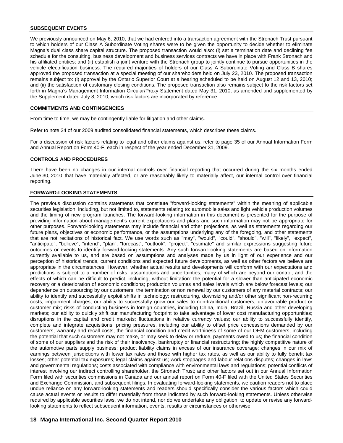## **SUBSEQUENT EVENTS**

We previously announced on May 6, 2010, that we had entered into a transaction agreement with the Stronach Trust pursuant to which holders of our Class A Subordinate Voting shares were to be given the opportunity to decide whether to eliminate Magna's dual class share capital structure. The proposed transaction would also: (i) set a termination date and declining fee schedule for the consulting, business development and business services contracts we have in place with Frank Stronach and his affiliated entities; and (ii) establish a joint venture with the Stronach group to jointly continue to pursue opportunities in the vehicle electrification business. The required majorities of holders of our Class A Subordinate Voting and Class B shares approved the proposed transaction at a special meeting of our shareholders held on July 23, 2010. The proposed transaction remains subject to: (i) approval by the Ontario Superior Court at a hearing scheduled to be held on August 12 and 13, 2010; and (ii) the satisfaction of customary closing conditions. The proposed transaction also remains subject to the risk factors set forth in Magna's Management Information Circular/Proxy Statement dated May 31, 2010, as amended and supplemented by the Supplement dated July 8, 2010, which risk factors are incorporated by reference.

### **COMMITMENTS AND CONTINGENCIES**

From time to time, we may be contingently liable for litigation and other claims.

Refer to note 24 of our 2009 audited consolidated financial statements, which describes these claims.

For a discussion of risk factors relating to legal and other claims against us, refer to page 35 of our Annual Information Form and Annual Report on Form 40-F, each in respect of the year ended December 31, 2009.

### **CONTROLS AND PROCEDURES**

There have been no changes in our internal controls over financial reporting that occurred during the six months ended June 30, 2010 that have materially affected, or are reasonably likely to materially affect, our internal control over financial reporting.

### **FORWARD-LOOKING STATEMENTS**

The previous discussion contains statements that constitute "forward-looking statements" within the meaning of applicable securities legislation, including, but not limited to, statements relating to: automobile sales and light vehicle production volumes and the timing of new program launches. The forward-looking information in this document is presented for the purpose of providing information about management's current expectations and plans and such information may not be appropriate for other purposes. Forward-looking statements may include financial and other projections, as well as statements regarding our future plans, objectives or economic performance, or the assumptions underlying any of the foregoing, and other statements that are not recitations of historical fact. We use words such as "may", "would", "could", "should", "will", "likely", "expect", "anticipate", "believe", "intend", "plan", "forecast", "outlook", "project", "estimate" and similar expressions suggesting future outcomes or events to identify forward-looking statements. Any such forward-looking statements are based on information currently available to us, and are based on assumptions and analyses made by us in light of our experience and our perception of historical trends, current conditions and expected future developments, as well as other factors we believe are appropriate in the circumstances. However, whether actual results and developments will conform with our expectations and predictions is subject to a number of risks, assumptions and uncertainties, many of which are beyond our control, and the effects of which can be difficult to predict, including, without limitation: the potential for a slower than anticipated economic recovery or a deterioration of economic conditions; production volumes and sales levels which are below forecast levels; our dependence on outsourcing by our customers; the termination or non renewal by our customers of any material contracts; our ability to identify and successfully exploit shifts in technology; restructuring, downsizing and/or other significant non-recurring costs; impairment charges; our ability to successfully grow our sales to non-traditional customers; unfavourable product or customer mix; risks of conducting business in foreign countries, including China, India, Brazil, Russia and other developing markets; our ability to quickly shift our manufacturing footprint to take advantage of lower cost manufacturing opportunities; disruptions in the capital and credit markets; fluctuations in relative currency values; our ability to successfully identify, complete and integrate acquisitions; pricing pressures, including our ability to offset price concessions demanded by our customers; warranty and recall costs; the financial condition and credit worthiness of some of our OEM customers, including the potential that such customers may not make, or may seek to delay or reduce, payments owed to us; the financial condition of some of our suppliers and the risk of their insolvency, bankruptcy or financial restructuring; the highly competitive nature of the automotive parts supply business; product liability claims in excess of our insurance coverage; changes in our mix of earnings between jurisdictions with lower tax rates and those with higher tax rates, as well as our ability to fully benefit tax losses; other potential tax exposures; legal claims against us; work stoppages and labour relations disputes; changes in laws and governmental regulations; costs associated with compliance with environmental laws and regulations; potential conflicts of interest involving our indirect controlling shareholder, the Stronach Trust; and other factors set out in our Annual Information Form filed with securities commissions in Canada and our annual report on Form 40-F filed with the United States Securities and Exchange Commission, and subsequent filings. In evaluating forward-looking statements, we caution readers not to place undue reliance on any forward-looking statements and readers should specifically consider the various factors which could cause actual events or results to differ materially from those indicated by such forward-looking statements. Unless otherwise required by applicable securities laws, we do not intend, nor do we undertake any obligation, to update or revise any forwardlooking statements to reflect subsequent information, events, results or circumstances or otherwise.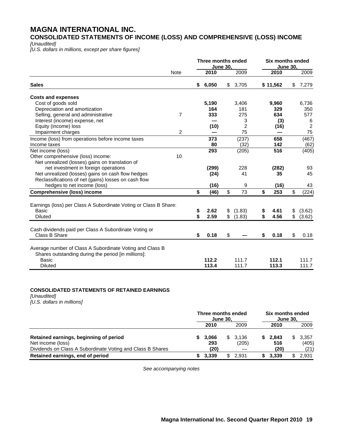# **MAGNA INTERNATIONAL INC.**

**CONSOLIDATED STATEMENTS OF INCOME (LOSS) AND COMPREHENSIVE (LOSS) INCOME** 

*[Unaudited]* 

*[U.S. dollars in millions, except per share figures]* 

|                                                                  |                | Three months ended<br><b>June 30.</b> |                |    |          | <b>Six months ended</b><br><b>June 30,</b> |                    |  |
|------------------------------------------------------------------|----------------|---------------------------------------|----------------|----|----------|--------------------------------------------|--------------------|--|
|                                                                  | <b>Note</b>    | 2010                                  | 2009           |    | 2010     |                                            | 2009               |  |
| <b>Sales</b>                                                     |                | \$<br>6,050                           | \$<br>3,705    |    | \$11,562 | \$                                         | 7,279              |  |
| <b>Costs and expenses</b>                                        |                |                                       |                |    |          |                                            |                    |  |
| Cost of goods sold                                               |                | 5,190                                 | 3,406          |    | 9,960    |                                            | 6.736              |  |
| Depreciation and amortization                                    |                | 164                                   | 181            |    | 329      |                                            | 350                |  |
| Selling, general and administrative                              | $\overline{7}$ | 333                                   | 275            |    | 634      |                                            | 577                |  |
| Interest (income) expense, net                                   |                |                                       | 3              |    | (3)      |                                            | 6                  |  |
| Equity (income) loss                                             |                | (10)                                  | $\overline{2}$ |    | (16)     |                                            | 2                  |  |
| Impairment charges                                               | $\overline{2}$ |                                       | 75             |    |          |                                            | 75                 |  |
| Income (loss) from operations before income taxes                |                | 373                                   | (237)          |    | 658      |                                            | $\overline{(467)}$ |  |
| Income taxes                                                     |                | 80                                    | (32)           |    | 142      |                                            | (62)               |  |
| Net income (loss)                                                |                | 293                                   | (205)          |    | 516      |                                            | (405)              |  |
| Other comprehensive (loss) income:                               | 10             |                                       |                |    |          |                                            |                    |  |
| Net unrealized (losses) gains on translation of                  |                |                                       |                |    |          |                                            |                    |  |
| net investment in foreign operations                             |                | (299)                                 | 228            |    | (282)    |                                            | 93                 |  |
| Net unrealized (losses) gains on cash flow hedges                |                | (24)                                  | 41             |    | 35       |                                            | 45                 |  |
| Reclassifications of net (gains) losses on cash flow             |                |                                       |                |    |          |                                            |                    |  |
| hedges to net income (loss)                                      |                | (16)                                  | 9              |    | (16)     |                                            | 43                 |  |
| <b>Comprehensive (loss) income</b>                               |                | \$<br>(46)                            | \$<br>73       | \$ | 253      | \$                                         | (224)              |  |
| Earnings (loss) per Class A Subordinate Voting or Class B Share: |                |                                       |                |    |          |                                            |                    |  |
| <b>Basic</b>                                                     |                | \$<br>2.62                            | \$<br>(1.83)   | \$ | 4.61     | \$                                         | (3.62)             |  |
| <b>Diluted</b>                                                   |                | \$<br>2.59                            | \$<br>(1.83)   | \$ | 4.56     | \$                                         | (3.62)             |  |
|                                                                  |                |                                       |                |    |          |                                            |                    |  |
| Cash dividends paid per Class A Subordinate Voting or            |                |                                       |                |    |          |                                            |                    |  |
| Class B Share                                                    |                | \$<br>0.18                            | \$             | \$ | 0.18     | \$                                         | 0.18               |  |
| Average number of Class A Subordinate Voting and Class B         |                |                                       |                |    |          |                                            |                    |  |
| Shares outstanding during the period [in millions]:              |                |                                       |                |    |          |                                            |                    |  |
| <b>Basic</b>                                                     |                | 112.2                                 | 111.7          |    | 112.1    |                                            | 111.7              |  |
| <b>Diluted</b>                                                   |                | 113.4                                 | 111.7          |    | 113.3    |                                            | 111.7              |  |

# **CONSOLIDATED STATEMENTS OF RETAINED EARNINGS**

*[Unaudited] [U.S. dollars in millions]*

|                                                                                                                           | Three months ended<br><b>June 30.</b> |                      |    | Six months ended<br><b>June 30,</b> |  |                      |  |                        |
|---------------------------------------------------------------------------------------------------------------------------|---------------------------------------|----------------------|----|-------------------------------------|--|----------------------|--|------------------------|
|                                                                                                                           |                                       | 2010                 |    | 2009                                |  | 2010                 |  | 2009                   |
| Retained earnings, beginning of period<br>Net income (loss)<br>Dividends on Class A Subordinate Voting and Class B Shares |                                       | 3.066<br>293<br>(20) |    | \$ 3.136<br>(205)                   |  | 2.843<br>516<br>(20) |  | 3,357<br>(405)<br>(21) |
| Retained earnings, end of period                                                                                          |                                       | 3.339                | \$ | 2.931                               |  | 3.339                |  | 2.931                  |

*See accompanying notes*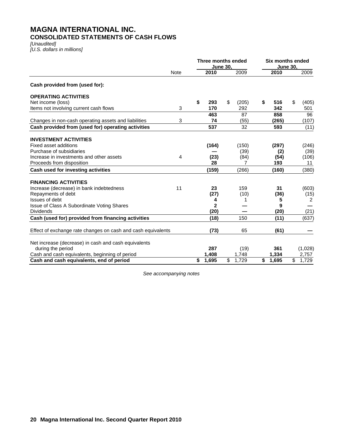# **MAGNA INTERNATIONAL INC. CONSOLIDATED STATEMENTS OF CASH FLOWS**

*[Unaudited] [U.S. dollars in millions]* 

|                                                                |             |             | Three months ended<br>June 30, |       |    | <b>June 30,</b> | <b>Six months ended</b> |                |
|----------------------------------------------------------------|-------------|-------------|--------------------------------|-------|----|-----------------|-------------------------|----------------|
|                                                                | <b>Note</b> | 2010        |                                | 2009  |    | 2010            |                         | 2009           |
| Cash provided from (used for):                                 |             |             |                                |       |    |                 |                         |                |
| <b>OPERATING ACTIVITIES</b>                                    |             |             |                                |       |    |                 |                         |                |
| Net income (loss)                                              |             | \$<br>293   | \$                             | (205) | S  | 516             | \$                      | (405)          |
| Items not involving current cash flows                         | 3           | 170         |                                | 292   |    | 342             |                         | 501            |
|                                                                |             | 463         |                                | 87    |    | 858             |                         | 96             |
| Changes in non-cash operating assets and liabilities           | 3           | 74          |                                | (55)  |    | (265)           |                         | (107)          |
| Cash provided from (used for) operating activities             |             | 537         |                                | 32    |    | 593             |                         | (11)           |
| <b>INVESTMENT ACTIVITIES</b>                                   |             |             |                                |       |    |                 |                         |                |
| <b>Fixed asset additions</b>                                   |             | (164)       |                                | (150) |    | (297)           |                         | (246)          |
| Purchase of subsidiaries                                       |             |             |                                | (39)  |    | (2)             |                         | (39)           |
| Increase in investments and other assets                       | 4           | (23)        |                                | (84)  |    | (54)            |                         | (106)          |
| Proceeds from disposition                                      |             | 28          |                                | 7     |    | 193             |                         | 11             |
| Cash used for investing activities                             |             | (159)       |                                | (266) |    | (160)           |                         | (380)          |
|                                                                |             |             |                                |       |    |                 |                         |                |
| <b>FINANCING ACTIVITIES</b>                                    |             |             |                                |       |    |                 |                         |                |
| Increase (decrease) in bank indebtedness                       | 11          | 23          |                                | 159   |    | 31              |                         | (603)          |
| Repayments of debt                                             |             | (27)        |                                | (10)  |    | (36)            |                         | (15)           |
| Issues of debt                                                 |             | 4           |                                | 1     |    | 5<br>9          |                         | $\overline{2}$ |
| Issue of Class A Subordinate Voting Shares<br><b>Dividends</b> |             | 2           |                                |       |    |                 |                         |                |
|                                                                |             | (20)        |                                |       |    | (20)            |                         | (21)           |
| Cash (used for) provided from financing activities             |             | (18)        |                                | 150   |    | (11)            |                         | (637)          |
| Effect of exchange rate changes on cash and cash equivalents   |             | (73)        |                                | 65    |    | (61)            |                         |                |
|                                                                |             |             |                                |       |    |                 |                         |                |
| Net increase (decrease) in cash and cash equivalents           |             |             |                                |       |    |                 |                         |                |
| during the period                                              |             | 287         |                                | (19)  |    | 361             |                         | (1,028)        |
| Cash and cash equivalents, beginning of period                 |             | 1,408       |                                | 1,748 |    | 1,334           |                         | 2,757          |
| Cash and cash equivalents, end of period                       |             | \$<br>1,695 | \$                             | 1.729 | \$ | 1,695           | $\overline{\mathbb{S}}$ | 1.729          |

*See accompanying notes*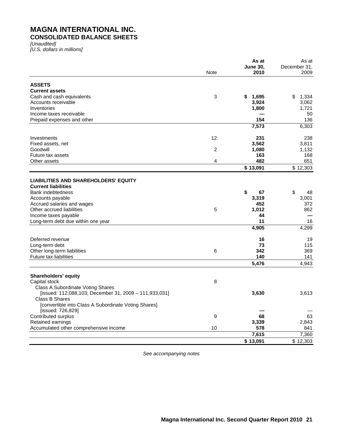# **MAGNA INTERNATIONAL INC. CONSOLIDATED BALANCE SHEETS**

*[Unaudited] [U.S. dollars in millions]* 

|                                                        |                | As at           | As at        |
|--------------------------------------------------------|----------------|-----------------|--------------|
|                                                        |                | <b>June 30,</b> | December 31, |
|                                                        | <b>Note</b>    | 2010            | 2009         |
| <b>ASSETS</b>                                          |                |                 |              |
| <b>Current assets</b>                                  |                |                 |              |
| Cash and cash equivalents                              | 3              | \$<br>1,695     | \$<br>1,334  |
| Accounts receivable                                    |                | 3,924           | 3,062        |
| Inventories                                            |                | 1,800           | 1,721        |
| Income taxes receivable                                |                |                 | 50           |
| Prepaid expenses and other                             |                | 154             | 136          |
|                                                        |                | 7,573           | 6,303        |
|                                                        |                |                 |              |
| Investments                                            | 12             | 231             | 238          |
| Fixed assets, net                                      |                | 3,562           | 3,811        |
| Goodwill                                               | $\overline{c}$ | 1,080           | 1,132        |
| Future tax assets                                      |                | 163             | 168          |
| Other assets                                           | 4              | 482             | 651          |
|                                                        |                | \$13,091        | \$12,303     |
| <b>LIABILITIES AND SHAREHOLDERS' EQUITY</b>            |                |                 |              |
| <b>Current liabilities</b>                             |                |                 |              |
| Bank indebtedness                                      |                | \$<br>67        | \$<br>48     |
| Accounts payable                                       |                | 3,319           | 3,001        |
| Accrued salaries and wages                             |                | 452             | 372          |
| Other accrued liabilities                              | 5              | 1,012           | 862          |
| Income taxes payable                                   |                | 44              |              |
| Long-term debt due within one year                     |                | 11              | 16           |
|                                                        |                | 4,905           | 4,299        |
|                                                        |                |                 |              |
| Deferred revenue                                       |                | 16              | 19           |
| Long-term debt                                         |                | 73              | 115          |
| Other long-term liabilities                            | 6              | 342             | 369          |
| Future tax liabilities                                 |                | 140             | 141          |
|                                                        |                | 5,476           | 4.943        |
|                                                        |                |                 |              |
| <b>Shareholders' equity</b><br>Capital stock           | 8              |                 |              |
| Class A Subordinate Voting Shares                      |                |                 |              |
| [issued: 112,088,103; December 31, 2009 - 111,933,031] |                | 3,630           | 3,613        |
| <b>Class B Shares</b>                                  |                |                 |              |
| [convertible into Class A Subordinate Voting Shares]   |                |                 |              |
| [issued: 726,829]                                      |                |                 |              |
| Contributed surplus                                    | 9              | 68              | 63           |
| Retained earnings                                      |                | 3,339           | 2,843        |
| Accumulated other comprehensive income                 | 10             | 578             | 841          |
|                                                        |                | 7,615           | 7,360        |
|                                                        |                |                 |              |
|                                                        |                | \$13,091        | \$12,303     |

*See accompanying notes*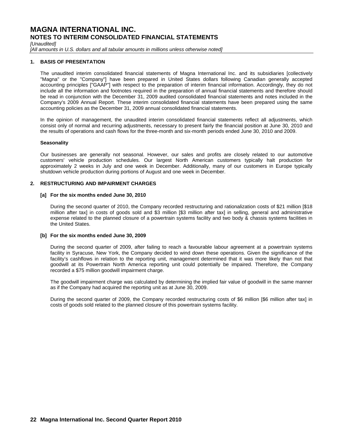*[Unaudited]* 

[All amounts in U.S. dollars and all tabular amounts in millions unless otherwise noted]

## **1. BASIS OF PRESENTATION**

The unaudited interim consolidated financial statements of Magna International Inc. and its subsidiaries [collectively "Magna" or the "Company"] have been prepared in United States dollars following Canadian generally accepted accounting principles ["GAAP"] with respect to the preparation of interim financial information. Accordingly, they do not include all the information and footnotes required in the preparation of annual financial statements and therefore should be read in conjunction with the December 31, 2009 audited consolidated financial statements and notes included in the Company's 2009 Annual Report. These interim consolidated financial statements have been prepared using the same accounting policies as the December 31, 2009 annual consolidated financial statements.

In the opinion of management, the unaudited interim consolidated financial statements reflect all adjustments, which consist only of normal and recurring adjustments, necessary to present fairly the financial position at June 30, 2010 and the results of operations and cash flows for the three-month and six-month periods ended June 30, 2010 and 2009.

### **Seasonality**

Our businesses are generally not seasonal. However, our sales and profits are closely related to our automotive customers' vehicle production schedules. Our largest North American customers typically halt production for approximately 2 weeks in July and one week in December. Additionally, many of our customers in Europe typically shutdown vehicle production during portions of August and one week in December.

### **2. RESTRUCTURING AND IMPAIRMENT CHARGES**

### **[a] For the six months ended June 30, 2010**

During the second quarter of 2010, the Company recorded restructuring and rationalization costs of \$21 million [\$18 million after tax] in costs of goods sold and \$3 million [\$3 million after tax] in selling, general and administrative expense related to the planned closure of a powertrain systems facility and two body & chassis systems facilities in the United States.

### **[b] For the six months ended June 30, 2009**

During the second quarter of 2009, after failing to reach a favourable labour agreement at a powertrain systems facility in Syracuse, New York, the Company decided to wind down these operations. Given the significance of the facility's cashflows in relation to the reporting unit, management determined that it was more likely than not that goodwill at its Powertrain North America reporting unit could potentially be impaired. Therefore, the Company recorded a \$75 million goodwill impairment charge.

The goodwill impairment charge was calculated by determining the implied fair value of goodwill in the same manner as if the Company had acquired the reporting unit as at June 30, 2009.

During the second quarter of 2009, the Company recorded restructuring costs of \$6 million [\$6 million after tax] in costs of goods sold related to the planned closure of this powertrain systems facility.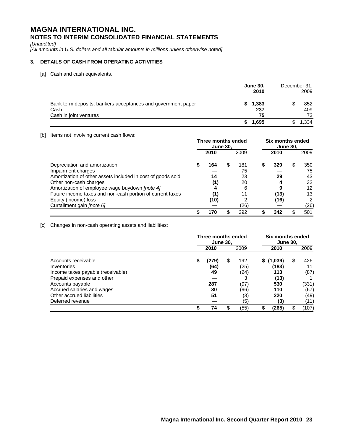*[Unaudited]* 

*[All amounts in U.S. dollars and all tabular amounts in millions unless otherwise noted]* 

# **3. DETAILS OF CASH FROM OPERATING ACTIVITIES**

[a] Cash and cash equivalents:

|                                                                      | <b>June 30,</b><br>2010 | December 31, | 2009       |
|----------------------------------------------------------------------|-------------------------|--------------|------------|
| Bank term deposits, bankers acceptances and government paper<br>Cash | 1,383<br>237            |              | 852<br>409 |
| Cash in joint ventures                                               | 75                      |              | 73         |
|                                                                      | 1,695                   |              | .334       |

## [b] Items not involving current cash flows:

|                                                             | Three months ended<br><b>June 30.</b> |      |   |      | Six months ended<br><b>June 30,</b> |      |    |      |
|-------------------------------------------------------------|---------------------------------------|------|---|------|-------------------------------------|------|----|------|
|                                                             |                                       | 2010 |   | 2009 |                                     | 2010 |    | 2009 |
| Depreciation and amortization                               | S                                     | 164  | S | 181  | S                                   | 329  | SS | 350  |
| Impairment charges                                          |                                       |      |   | 75   |                                     |      |    | 75   |
| Amortization of other assets included in cost of goods sold |                                       | 14   |   | 23   |                                     | 29   |    | 43   |
| Other non-cash charges                                      |                                       | (1)  |   | 20   |                                     |      |    | 32   |
| Amortization of employee wage buydown [note 4]              |                                       |      |   | 6    |                                     |      |    | 12   |
| Future income taxes and non-cash portion of current taxes   |                                       | (1)  |   | 11   |                                     | (13) |    | 13   |
| Equity (income) loss                                        |                                       | (10) |   |      |                                     | (16) |    | 2    |
| Curtailment gain [note 6]                                   |                                       |      |   | (26) |                                     |      |    | (26) |
|                                                             |                                       | 170  |   | 292  |                                     | 342  |    | 501  |

[c] Changes in non-cash operating assets and liabilities:

|                                                                 | Three months ended<br><b>June 30.</b> |               | Six months ended<br><b>June 30,</b> |              |   |                    |    |               |
|-----------------------------------------------------------------|---------------------------------------|---------------|-------------------------------------|--------------|---|--------------------|----|---------------|
|                                                                 |                                       | 2010          |                                     | 2009         |   | 2010               |    | 2009          |
| Accounts receivable<br>Inventories                              | S                                     | (279)<br>(64) | \$                                  | 192<br>(25)  |   | \$(1,039)<br>(183) | S  | 426           |
| Income taxes payable (receivable)<br>Prepaid expenses and other |                                       | 49            |                                     | (24)         |   | 113<br>(13)        |    | (87)          |
| Accounts payable<br>Accrued salaries and wages                  |                                       | 287<br>30     |                                     | (97)<br>(96) |   | 530<br>110         |    | (331)<br>(67) |
| Other accrued liabilities<br>Deferred revenue                   |                                       | 51            |                                     | (3)<br>(5)   |   | 220<br>(3)         |    | (49)<br>(11)  |
|                                                                 |                                       | 74            | \$.                                 | (55)         | S | (265)              | \$ | (107)         |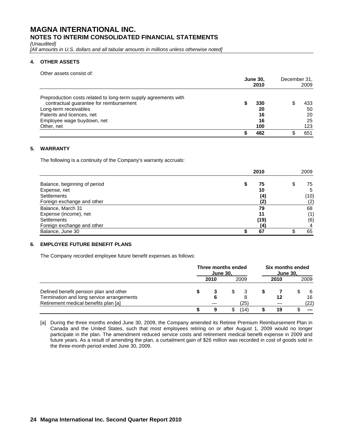*[Unaudited]* 

[All amounts in U.S. dollars and all tabular amounts in millions unless otherwise noted]

# **4. OTHER ASSETS**

Other assets consist of:

|                                                                 | <b>June 30.</b><br>2010 |     | December 31,<br>2009 |     |
|-----------------------------------------------------------------|-------------------------|-----|----------------------|-----|
| Preproduction costs related to long-term supply agreements with |                         |     |                      |     |
| contractual guarantee for reimbursement                         |                         | 330 |                      | 433 |
| Long-term receivables                                           |                         | 20  |                      | 50  |
| Patents and licences, net                                       |                         | 16  |                      | 20  |
| Employee wage buydown, net                                      |                         | 16  |                      | 25  |
| Other, net                                                      |                         | 100 |                      | 123 |
|                                                                 |                         | 482 |                      | 651 |

# **5. WARRANTY**

The following is a continuity of the Company's warranty accruals:

|                              | 2010 |                   | 2009 |  |
|------------------------------|------|-------------------|------|--|
| Balance, beginning of period | S    | 75                | 75   |  |
| Expense, net                 |      | 10                | 5    |  |
| <b>Settlements</b>           |      | $\left( 4\right)$ | (10) |  |
| Foreign exchange and other   |      | (2)               | (2)  |  |
| Balance, March 31            |      | 79                | 68   |  |
| Expense (income), net        |      | 11                | (1)  |  |
| <b>Settlements</b>           |      | (19)              | (6)  |  |
| Foreign exchange and other   |      | (4)               |      |  |
| Balance, June 30             |      | 67                | 65   |  |

# **6. EMPLOYEE FUTURE BENEFIT PLANS**

The Company recorded employee future benefit expenses as follows:

|                                                                                   | Three months ended<br><b>June 30,</b> |      |  | Six months ended<br><b>June 30,</b> |      |  |            |
|-----------------------------------------------------------------------------------|---------------------------------------|------|--|-------------------------------------|------|--|------------|
|                                                                                   |                                       | 2010 |  | 2009                                | 2010 |  | 2009       |
| Defined benefit pension plan and other                                            |                                       |      |  |                                     |      |  | 6          |
| Termination and long service arrangements<br>Retirement medical benefits plan [a] |                                       |      |  | 25)                                 |      |  | 16<br>(22) |
|                                                                                   |                                       | 9    |  | 14)                                 |      |  |            |

[a] During the three months ended June 30, 2009, the Company amended its Retiree Premium Reimbursement Plan in Canada and the United States, such that most employees retiring on or after August 1, 2009 would no longer participate in the plan. The amendment reduced service costs and retirement medical benefit expense in 2009 and future years. As a result of amending the plan, a curtailment gain of \$26 million was recorded in cost of goods sold in the three-month period ended June 30, 2009.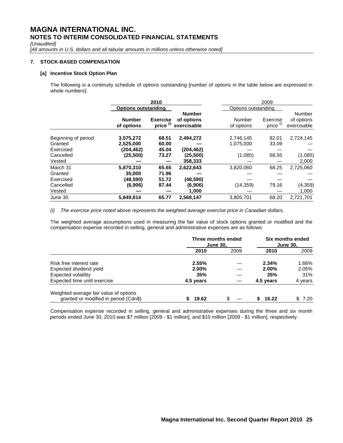*[Unaudited]* 

[All amounts in U.S. dollars and all tabular amounts in millions unless otherwise noted]

# **7. STOCK-BASED COMPENSATION**

### **[a] Incentive Stock Option Plan**

 The following is a continuity schedule of options outstanding [number of options in the table below are expressed in whole numbers]:

|                     |                             | 2010                         |                                            |                      | 2009                             |                                     |  |
|---------------------|-----------------------------|------------------------------|--------------------------------------------|----------------------|----------------------------------|-------------------------------------|--|
|                     | <b>Options outstanding</b>  |                              |                                            | Options outstanding  |                                  |                                     |  |
|                     | <b>Number</b><br>of options | <b>Exercise</b><br>price (i) | <b>Number</b><br>of options<br>exercisable | Number<br>of options | Exercise<br>price <sup>(i)</sup> | Number<br>of options<br>exercisable |  |
| Beginning of period | 3,575,272                   | 68.51                        | 2,494,272                                  | 2,746,145            | 82.01                            | 2,724,145                           |  |
| Granted             | 2,525,000                   | 60.00                        |                                            | 1,075,000            | 33.09                            |                                     |  |
| Exercised           | (204,462)                   | 45.04                        | (204, 462)                                 |                      |                                  |                                     |  |
| Cancelled           | (25, 500)                   | 73.27                        | (25, 500)                                  | (1,085)              | 68.55                            | (1,085)                             |  |
| Vested              |                             |                              | 358,333                                    |                      |                                  | 2,000                               |  |
| March 31            | 5,870,310                   | 65.65                        | 2,622,643                                  | 3,820,060            | 68.25                            | 2,725,060                           |  |
| Granted             | 35,000                      | 71.96                        |                                            |                      |                                  |                                     |  |
| Exercised           | (48,590)                    | 51.72                        | (48,590)                                   |                      |                                  |                                     |  |
| Cancelled           | (6,906)                     | 87.44                        | (6,906)                                    | (14, 359)            | 79.16                            | (4, 359)                            |  |
| Vested              |                             |                              | 1,000                                      |                      |                                  | 1,000                               |  |
| June 30             | 5,849,814                   | 65.77                        | 2.568.147                                  | 3.805.701            | 68.20                            | 2.721.701                           |  |

*(i) The exercise price noted above represents the weighted average exercise price in Canadian dollars.* 

The weighted average assumptions used in measuring the fair value of stock options granted or modified and the compensation expense recorded in selling, general and administrative expenses are as follows:

|                                                                                 | Three months ended<br><b>June 30.</b> |      | Six months ended<br><b>June 30,</b> |         |
|---------------------------------------------------------------------------------|---------------------------------------|------|-------------------------------------|---------|
|                                                                                 | 2010                                  | 2009 | 2010                                | 2009    |
| Risk free interest rate                                                         | 2.55%                                 |      | 2.34%                               | 1.66%   |
| Expected dividend yield                                                         | $2.00\%$                              |      | $2.00\%$                            | 2.05%   |
| Expected volatility                                                             | 35%                                   |      | 35%                                 | 31%     |
| Expected time until exercise                                                    | 4.5 years                             |      | 4.5 years                           | 4 years |
| Weighted average fair value of options<br>granted or modified in period (Cdn\$) | 19.62                                 |      | 16.22                               | \$7.20  |

Compensation expense recorded in selling, general and administrative expenses during the three and six month periods ended June 30, 2010 was \$7 million [2009 - \$1 million], and \$10 million [2009 - \$1 million], respectively.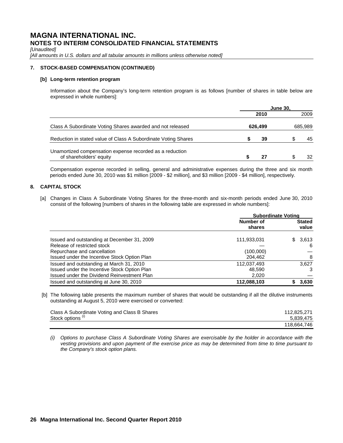*[Unaudited]* 

[All amounts in U.S. dollars and all tabular amounts in millions unless otherwise noted]

# **7. STOCK-BASED COMPENSATION (CONTINUED)**

### **[b] Long-term retention program**

Information about the Company's long-term retention program is as follows [number of shares in table below are expressed in whole numbers]:

|                                                                                     | <b>June 30.</b> |      |         |      |
|-------------------------------------------------------------------------------------|-----------------|------|---------|------|
|                                                                                     |                 | 2010 |         | 2009 |
| Class A Subordinate Voting Shares awarded and not released                          | 626.499         |      | 685,989 |      |
| Reduction in stated value of Class A Subordinate Voting Shares                      |                 | 39   |         | 45   |
| Unamortized compensation expense recorded as a reduction<br>of shareholders' equity |                 | 27   |         | 32   |

Compensation expense recorded in selling, general and administrative expenses during the three and six month periods ended June 30, 2010 was \$1 million [2009 - \$2 million], and \$3 million [2009 - \$4 million], respectively.

# **8. CAPITAL STOCK**

[a] Changes in Class A Subordinate Voting Shares for the three-month and six-month periods ended June 30, 2010 consist of the following [numbers of shares in the following table are expressed in whole numbers]:

|                                              | <b>Subordinate Voting</b> |               |  |
|----------------------------------------------|---------------------------|---------------|--|
|                                              | Number of                 | <b>Stated</b> |  |
|                                              | shares                    | value         |  |
| Issued and outstanding at December 31, 2009  | 111,933,031               | 3,613<br>S.   |  |
| Release of restricted stock                  |                           | -6            |  |
| Repurchase and cancellation                  | (100,000)                 |               |  |
| Issued under the Incentive Stock Option Plan | 204,462                   | 8             |  |
| Issued and outstanding at March 31, 2010     | 112,037,493               | 3.627         |  |
| Issued under the Incentive Stock Option Plan | 48,590                    | 3             |  |
| Issued under the Dividend Reinvestment Plan  | 2,020                     |               |  |
| Issued and outstanding at June 30, 2010      | 112,088,103               | 3,630         |  |

 [b] The following table presents the maximum number of shares that would be outstanding if all the dilutive instruments outstanding at August 5, 2010 were exercised or converted:

| Class A Subordinate Voting and Class B Shares | 112.825.271 |
|-----------------------------------------------|-------------|
| Stock options <sup>(i)</sup>                  | 5.839.475   |
|                                               | 118.664.746 |

*(i) Options to purchase Class A Subordinate Voting Shares are exercisable by the holder in accordance with the vesting provisions and upon payment of the exercise price as may be determined from time to time pursuant to the Company's stock option plans.*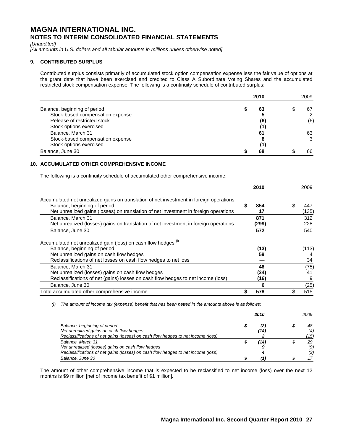### *[Unaudited]*

[All amounts in U.S. dollars and all tabular amounts in millions unless otherwise noted]

## **9. CONTRIBUTED SURPLUS**

Contributed surplus consists primarily of accumulated stock option compensation expense less the fair value of options at the grant date that have been exercised and credited to Class A Subordinate Voting Shares and the accumulated restricted stock compensation expense. The following is a continuity schedule of contributed surplus:

|                                  | 2010 |  | 2009 |  |
|----------------------------------|------|--|------|--|
| Balance, beginning of period     | 63   |  | 67   |  |
| Stock-based compensation expense |      |  |      |  |
| Release of restricted stock      | (6)  |  | (6)  |  |
| Stock options exercised          |      |  |      |  |
| Balance, March 31                | 61   |  | 63   |  |
| Stock-based compensation expense |      |  |      |  |
| Stock options exercised          |      |  |      |  |
| Balance, June 30                 | 68   |  | 66   |  |

# **10. ACCUMULATED OTHER COMPREHENSIVE INCOME**

The following is a continuity schedule of accumulated other comprehensive income:

|                                                                                         | 2010     | 2009     |
|-----------------------------------------------------------------------------------------|----------|----------|
| Accumulated net unrealized gains on translation of net investment in foreign operations |          |          |
| Balance, beginning of period                                                            | 854<br>S | S<br>447 |
| Net unrealized gains (losses) on translation of net investment in foreign operations    | 17       | (135)    |
| Balance, March 31                                                                       | 871      | 312      |
| Net unrealized (losses) gains on translation of net investment in foreign operations    | (299)    | 228      |
| Balance, June 30                                                                        | 572      | 540      |
| Accumulated net unrealized gain (loss) on cash flow hedges (i)                          |          |          |
| Balance, beginning of period                                                            | (13)     | (113)    |
| Net unrealized gains on cash flow hedges                                                | 59       |          |
| Reclassifications of net losses on cash flow hedges to net loss                         |          | 34       |
| Balance, March 31                                                                       | 46       | (75)     |
| Net unrealized (losses) gains on cash flow hedges                                       | (24)     | 41       |
| Reclassifications of net (gains) losses on cash flow hedges to net income (loss)        | (16)     | 9        |
| Balance, June 30                                                                        | 6        | (25)     |
| Total accumulated other comprehensive income                                            | 578      | 515      |

 *(i) The amount of income tax (expense) benefit that has been netted in the amounts above is as follows:* 

|                                                                                                                                       |  | 2010        | 2009 |            |
|---------------------------------------------------------------------------------------------------------------------------------------|--|-------------|------|------------|
| Balance, beginning of period<br>Net unrealized gains on cash flow hedges                                                              |  | (2,<br>(14) |      | 48<br>(4)  |
| Reclassifications of net gains (losses) on cash flow hedges to net income (loss)<br>Balance, March 31                                 |  | '141        |      | ′15)<br>29 |
| Net unrealized (losses) gains on cash flow hedges<br>Reclassifications of net gains (losses) on cash flow hedges to net income (loss) |  |             |      | (9)<br>′3) |
| Balance, June 30                                                                                                                      |  |             |      |            |

The amount of other comprehensive income that is expected to be reclassified to net income (loss) over the next 12 months is \$9 million [net of income tax benefit of \$1 million].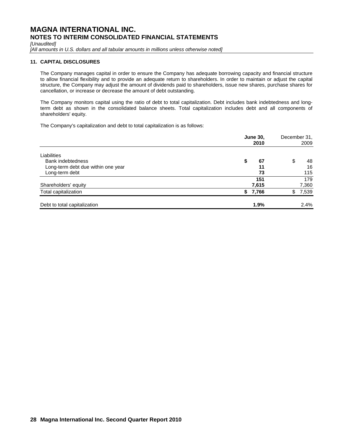*[Unaudited]* 

*[All amounts in U.S. dollars and all tabular amounts in millions unless otherwise noted]* 

## **11. CAPITAL DISCLOSURES**

The Company manages capital in order to ensure the Company has adequate borrowing capacity and financial structure to allow financial flexibility and to provide an adequate return to shareholders. In order to maintain or adjust the capital structure, the Company may adjust the amount of dividends paid to shareholders, issue new shares, purchase shares for cancellation, or increase or decrease the amount of debt outstanding.

The Company monitors capital using the ratio of debt to total capitalization. Debt includes bank indebtedness and longterm debt as shown in the consolidated balance sheets. Total capitalization includes debt and all components of shareholders' equity.

The Company's capitalization and debt to total capitalization is as follows:

|                                    |    | <b>June 30,</b><br>2010 |    |       |  |
|------------------------------------|----|-------------------------|----|-------|--|
| Liabilities                        |    |                         |    |       |  |
| Bank indebtedness                  | \$ | 67                      | \$ | 48    |  |
| Long-term debt due within one year |    | 11                      |    | 16    |  |
| Long-term debt                     |    | 73                      |    | 115   |  |
|                                    |    | 151                     |    | 179   |  |
| Shareholders' equity               |    | 7,615                   |    | 7,360 |  |
| Total capitalization               | S. | 7,766                   | S  | 7,539 |  |
| Debt to total capitalization       |    | 1.9%                    |    | 2.4%  |  |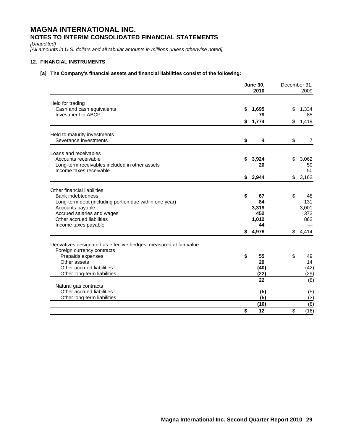*[Unaudited]* 

*[All amounts in U.S. dollars and all tabular amounts in millions unless otherwise noted]* 

# **12. FINANCIAL INSTRUMENTS**

# **[a] The Company's financial assets and financial liabilities consist of the following:**

|                                                                                                  | <b>June 30,</b> | December 31, | 2009           |                |
|--------------------------------------------------------------------------------------------------|-----------------|--------------|----------------|----------------|
| Held for trading<br>Cash and cash equivalents<br>Investment in ABCP                              | S               | 1,695<br>79  | \$             | 1,334<br>85    |
|                                                                                                  | \$              | 1,774        | \$             | 1,419          |
| Held to maturity investments                                                                     |                 |              |                |                |
| Severance investments                                                                            | \$              | 4            | \$             | $\overline{7}$ |
| Loans and receivables                                                                            |                 |              |                |                |
| Accounts receivable                                                                              | \$              | 3,924        | \$             | 3,062          |
| Long-term receivables included in other assets<br>Income taxes receivable                        |                 | 20           |                | 50<br>50       |
|                                                                                                  | \$              | 3,944        |                | \$3,162        |
| Other financial liabilities                                                                      |                 |              |                |                |
| Bank indebtedness                                                                                | \$              | 67           | \$             | 48             |
| Long-term debt (including portion due within one year)                                           |                 | 84           |                | 131            |
| Accounts payable                                                                                 |                 | 3,319        |                | 3,001          |
| Accrued salaries and wages                                                                       |                 | 452          |                | 372            |
| Other accrued liabilities                                                                        |                 | 1,012<br>44  |                | 862            |
| Income taxes payable                                                                             |                 | \$4,978      | $\mathfrak{S}$ | 4,414          |
| Derivatives designated as effective hedges, measured at fair value<br>Foreign currency contracts |                 |              |                |                |
| Prepaids expenses                                                                                | \$              | 55           | \$             | 49             |
| Other assets                                                                                     |                 | 29           |                | 14             |
| Other accrued liabilities                                                                        |                 | (40)         |                | (42)           |
| Other long-term liabilities                                                                      |                 | (22)         |                | (29)           |
| Natural gas contracts                                                                            |                 | 22           |                | (8)            |
| Other accrued liabilities                                                                        |                 | (5)          |                | (5)            |
| Other long-term liabilities                                                                      |                 | (5)          |                | (3)            |
|                                                                                                  |                 | (10)         |                | (8)            |
|                                                                                                  | \$              | 12           | \$             | (16)           |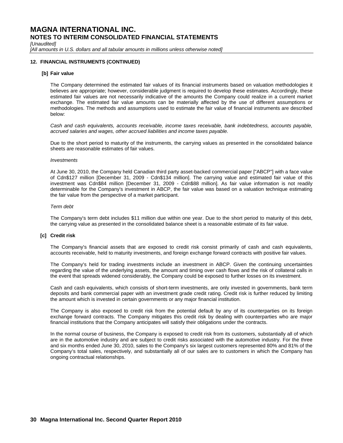*[Unaudited]* 

[All amounts in U.S. dollars and all tabular amounts in millions unless otherwise noted]

## **12. FINANCIAL INSTRUMENTS (CONTINUED)**

### **[b] Fair value**

The Company determined the estimated fair values of its financial instruments based on valuation methodologies it believes are appropriate; however, considerable judgment is required to develop these estimates. Accordingly, these estimated fair values are not necessarily indicative of the amounts the Company could realize in a current market exchange. The estimated fair value amounts can be materially affected by the use of different assumptions or methodologies. The methods and assumptions used to estimate the fair value of financial instruments are described below:

*Cash and cash equivalents, accounts receivable, income taxes receivable, bank indebtedness, accounts payable, accrued salaries and wages, other accrued liabilities and income taxes payable.* 

Due to the short period to maturity of the instruments, the carrying values as presented in the consolidated balance sheets are reasonable estimates of fair values.

#### *Investments*

At June 30, 2010, the Company held Canadian third party asset-backed commercial paper ["ABCP"] with a face value of Cdn\$127 million [December 31, 2009 - Cdn\$134 million]. The carrying value and estimated fair value of this investment was Cdn\$84 million [December 31, 2009 - Cdn\$88 million]. As fair value information is not readily determinable for the Company's investment in ABCP, the fair value was based on a valuation technique estimating the fair value from the perspective of a market participant.

#### *Term debt*

The Company's term debt includes \$11 million due within one year. Due to the short period to maturity of this debt, the carrying value as presented in the consolidated balance sheet is a reasonable estimate of its fair value.

### **[c] Credit risk**

The Company's financial assets that are exposed to credit risk consist primarily of cash and cash equivalents, accounts receivable, held to maturity investments, and foreign exchange forward contracts with positive fair values.

The Company's held for trading investments include an investment in ABCP. Given the continuing uncertainties regarding the value of the underlying assets, the amount and timing over cash flows and the risk of collateral calls in the event that spreads widened considerably, the Company could be exposed to further losses on its investment.

Cash and cash equivalents, which consists of short-term investments, are only invested in governments, bank term deposits and bank commercial paper with an investment grade credit rating. Credit risk is further reduced by limiting the amount which is invested in certain governments or any major financial institution.

The Company is also exposed to credit risk from the potential default by any of its counterparties on its foreign exchange forward contracts. The Company mitigates this credit risk by dealing with counterparties who are major financial institutions that the Company anticipates will satisfy their obligations under the contracts.

In the normal course of business, the Company is exposed to credit risk from its customers, substantially all of which are in the automotive industry and are subject to credit risks associated with the automotive industry. For the three and six months ended June 30, 2010, sales to the Company's six largest customers represented 80% and 81% of the Company's total sales, respectively, and substantially all of our sales are to customers in which the Company has ongoing contractual relationships.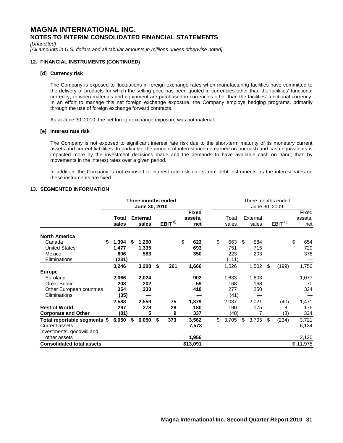*[Unaudited]* 

*[All amounts in U.S. dollars and all tabular amounts in millions unless otherwise noted]* 

## **12. FINANCIAL INSTRUMENTS (CONTINUED)**

### **[d] Currency risk**

The Company is exposed to fluctuations in foreign exchange rates when manufacturing facilities have committed to the delivery of products for which the selling price has been quoted in currencies other than the facilities' functional currency, or when materials and equipment are purchased in currencies other than the facilities' functional currency. In an effort to manage this net foreign exchange exposure, the Company employs hedging programs, primarily through the use of foreign exchange forward contracts.

As at June 30, 2010, the net foreign exchange exposure was not material.

#### **[e] Interest rate risk**

The Company is not exposed to significant interest rate risk due to the short-term maturity of its monetary current assets and current liabilities. In particular, the amount of interest income earned on our cash and cash equivalents is impacted more by the investment decisions made and the demands to have available cash on hand, than by movements in the interest rates over a given period.

In addition, the Company is not exposed to interest rate risk on its term debt instruments as the interest rates on these instruments are fixed.

#### **13. SEGMENTED INFORMATION**

|                                  | Three months ended<br><b>June 30, 2010</b> |    |                          |    |                     |    |                                |  | Three months ended<br>June 30, 2009 |                |    |                   |    |                     |    |                         |  |  |
|----------------------------------|--------------------------------------------|----|--------------------------|----|---------------------|----|--------------------------------|--|-------------------------------------|----------------|----|-------------------|----|---------------------|----|-------------------------|--|--|
|                                  | Total<br>sales                             |    | <b>External</b><br>sales |    | EBIT <sup>(i)</sup> |    | <b>Fixed</b><br>assets,<br>net |  |                                     | Total<br>sales |    | External<br>sales |    | EBIT <sup>(i)</sup> |    | Fixed<br>assets,<br>net |  |  |
| <b>North America</b>             |                                            |    |                          |    |                     |    |                                |  |                                     |                |    |                   |    |                     |    |                         |  |  |
| Canada<br><b>United States</b>   | \$<br>1,394<br>1,477                       | \$ | 1,290<br>1,335           |    |                     | \$ | 623<br>693                     |  | \$                                  | 663<br>751     | \$ | 584<br>715        |    |                     | \$ | 654<br>720              |  |  |
| Mexico                           | 606                                        |    | 583                      |    |                     |    | 350                            |  |                                     | 223            |    | 203               |    |                     |    | 376                     |  |  |
| Eliminations                     | (231)                                      |    |                          |    |                     |    |                                |  |                                     | (111)          |    |                   |    |                     |    |                         |  |  |
|                                  | 3,246                                      |    | 3,208                    | \$ | 261                 |    | 1,666                          |  |                                     | 1,526          |    | 1,502             | \$ | (199)               |    | 1,750                   |  |  |
| <b>Europe</b>                    |                                            |    |                          |    |                     |    |                                |  |                                     |                |    |                   |    |                     |    |                         |  |  |
| Euroland                         | 2,066                                      |    | 2,024                    |    |                     |    | 902                            |  |                                     | 1,633          |    | 1,603             |    |                     |    | 1,077                   |  |  |
| <b>Great Britain</b>             | 203                                        |    | 202                      |    |                     |    | 59                             |  |                                     | 168            |    | 168               |    |                     |    | 70                      |  |  |
| Other European countries         | 354                                        |    | 333                      |    |                     |    | 418                            |  |                                     | 277            |    | 250               |    |                     |    | 324                     |  |  |
| Eliminations                     | (35)                                       |    |                          |    |                     |    |                                |  |                                     | (41)           |    |                   |    |                     |    |                         |  |  |
|                                  | 2,588                                      |    | 2,559                    |    | 75                  |    | 1,379                          |  |                                     | 2,037          |    | 2,021             |    | (40)                |    | 1,471                   |  |  |
| <b>Rest of World</b>             | 297                                        |    | 278                      |    | 28                  |    | 180                            |  |                                     | 190            |    | 175               |    | 8                   |    | 176                     |  |  |
| <b>Corporate and Other</b>       | (81)                                       |    | 5                        |    | 9                   |    | 337                            |  |                                     | (48)           |    |                   |    | (3)                 |    | 324                     |  |  |
| Total reportable segments \$     | 6,050                                      | \$ | 6,050                    | \$ | 373                 |    | 3,562                          |  | \$                                  | 3,705          | \$ | 3,705             | \$ | (234)               |    | 3,721                   |  |  |
| <b>Current assets</b>            |                                            |    |                          |    |                     |    | 7,573                          |  |                                     |                |    |                   |    |                     |    | 6,134                   |  |  |
| Investments, goodwill and        |                                            |    |                          |    |                     |    |                                |  |                                     |                |    |                   |    |                     |    |                         |  |  |
| other assets                     |                                            |    |                          |    |                     |    | 1,956                          |  |                                     |                |    |                   |    |                     |    | 2,120                   |  |  |
| <b>Consolidated total assets</b> |                                            |    |                          |    |                     |    | \$13,091                       |  |                                     |                |    |                   |    |                     |    | \$11,975                |  |  |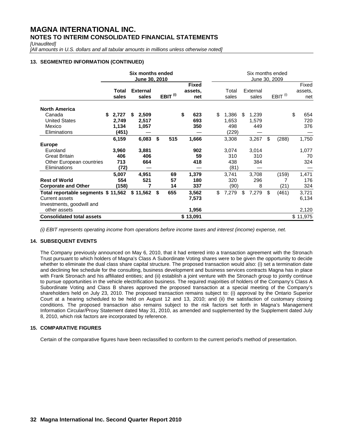*[Unaudited]* 

[All amounts in U.S. dollars and all tabular amounts in millions unless otherwise noted]

# **13. SEGMENTED INFORMATION (CONTINUED)**

|                                                                                                    |                                       | Six months ended<br>June 30, 2010 |    |                     | Six months ended<br>June 30, 2009 |                                |                                      |    |                       |    |                     |    |                         |  |
|----------------------------------------------------------------------------------------------------|---------------------------------------|-----------------------------------|----|---------------------|-----------------------------------|--------------------------------|--------------------------------------|----|-----------------------|----|---------------------|----|-------------------------|--|
|                                                                                                    | Total<br>sales                        | <b>External</b><br>sales          |    | EBIT <sup>(i)</sup> |                                   | <b>Fixed</b><br>assets,<br>net | Total<br>sales                       |    | External<br>sales     |    | EBIT <sup>(i)</sup> |    | Fixed<br>assets,<br>net |  |
| <b>North America</b><br>Canada<br><b>United States</b><br>Mexico<br>Eliminations                   | 2,727<br>S<br>2,749<br>1,134<br>(451) | 2,509<br>S<br>2,517<br>1,057      |    |                     | \$                                | 623<br>693<br>350              | \$<br>1,386<br>1,653<br>498<br>(229) | £. | 1,239<br>1,579<br>449 |    |                     | \$ | 654<br>720<br>376       |  |
|                                                                                                    | 6,159                                 | 6,083                             | \$ | 515                 |                                   | 1,666                          | 3,308                                |    | 3,267                 | \$ | (288)               |    | 1,750                   |  |
| <b>Europe</b><br>Euroland<br><b>Great Britain</b><br>Other European countries<br>Eliminations      | 3,960<br>406<br>713<br>(72)           | 3,881<br>406<br>664               |    |                     |                                   | 902<br>59<br>418               | 3,074<br>310<br>438<br>(81)          |    | 3,014<br>310<br>384   |    |                     |    | 1,077<br>70<br>324      |  |
| <b>Rest of World</b><br><b>Corporate and Other</b>                                                 | 5,007<br>554<br>(158)                 | 4,951<br>521<br>7                 |    | 69<br>57<br>14      |                                   | 1,379<br>180<br>337            | 3,741<br>320<br>(90)                 |    | 3,708<br>296<br>8     |    | (159)<br>(21)       |    | 1,471<br>176<br>324     |  |
| Total reportable segments \$ 11,562<br>Current assets<br>Investments, goodwill and<br>other assets |                                       | \$11,562                          | \$ | 655                 |                                   | 3,562<br>7,573<br>1,956        | \$<br>7,279                          | \$ | 7,279                 | \$ | (461)               |    | 3,721<br>6,134<br>2,120 |  |
| <b>Consolidated total assets</b>                                                                   |                                       |                                   |    |                     |                                   | \$13,091                       |                                      |    |                       |    |                     |    | \$11,975                |  |

*(i) EBIT represents operating income from operations before income taxes and interest (income) expense, net.* 

# **14. SUBSEQUENT EVENTS**

The Company previously announced on May 6, 2010, that it had entered into a transaction agreement with the Stronach Trust pursuant to which holders of Magna's Class A Subordinate Voting shares were to be given the opportunity to decide whether to eliminate the dual class share capital structure. The proposed transaction would also: (i) set a termination date and declining fee schedule for the consulting, business development and business services contracts Magna has in place with Frank Stronach and his affiliated entities; and (ii) establish a joint venture with the Stronach group to jointly continue to pursue opportunities in the vehicle electrification business. The required majorities of holders of the Company's Class A Subordinate Voting and Class B shares approved the proposed transaction at a special meeting of the Company's shareholders held on July 23, 2010. The proposed transaction remains subject to: (i) approval by the Ontario Superior Court at a hearing scheduled to be held on August 12 and 13, 2010; and (ii) the satisfaction of customary closing conditions. The proposed transaction also remains subject to the risk factors set forth in Magna's Management Information Circular/Proxy Statement dated May 31, 2010, as amended and supplemented by the Supplement dated July 8, 2010, which risk factors are incorporated by reference.

# **15. COMPARATIVE FIGURES**

Certain of the comparative figures have been reclassified to conform to the current period's method of presentation.